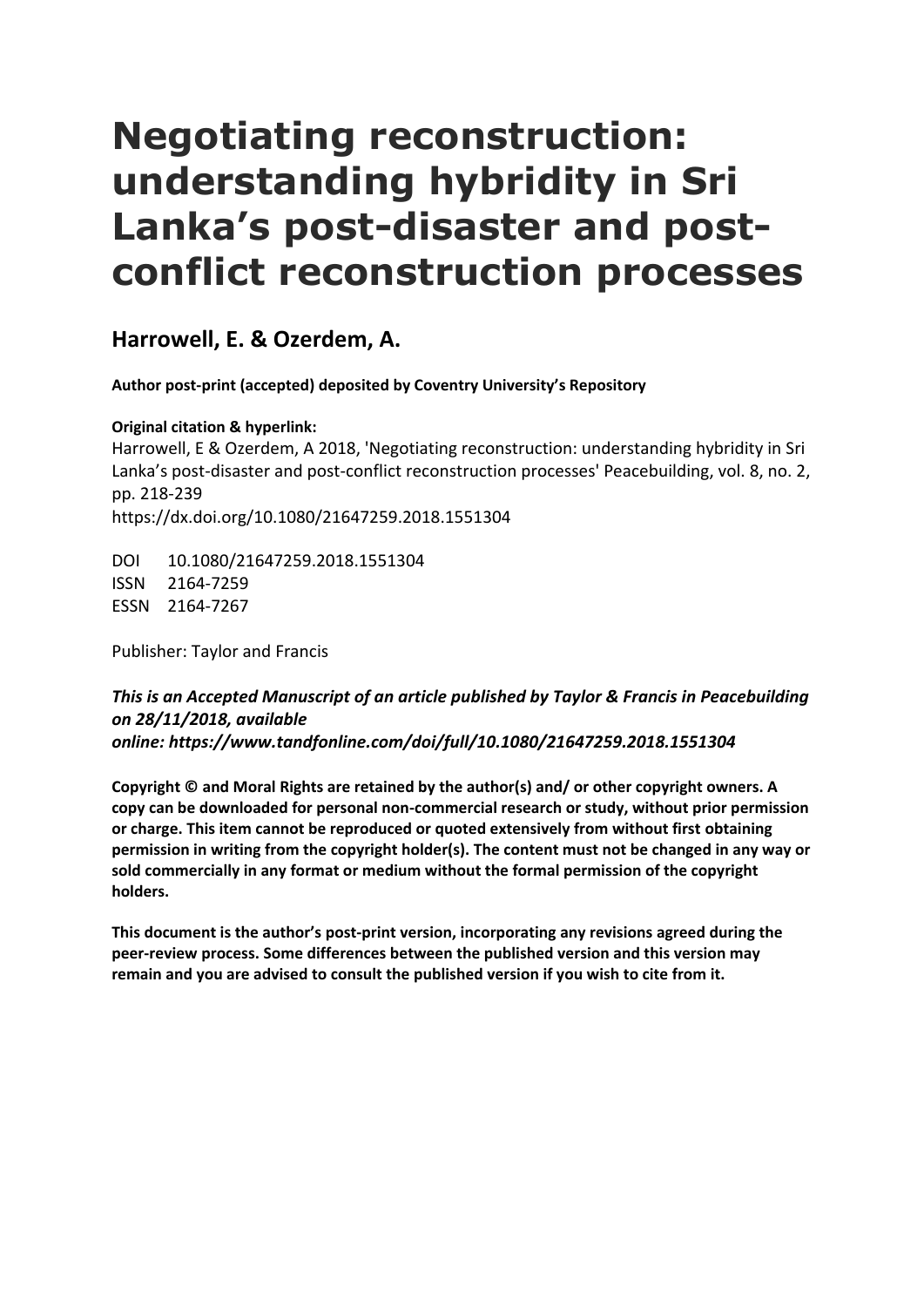# **Negotiating reconstruction: understanding hybridity in Sri Lanka's post-disaster and postconflict reconstruction processes**

**Harrowell, E. & Ozerdem, A.** 

**Author post-print (accepted) deposited by Coventry University's Repository**

**Original citation & hyperlink:** 

Harrowell, E & Ozerdem, A 2018, 'Negotiating reconstruction: understanding hybridity in Sri Lanka's post-disaster and post-conflict reconstruction processes' Peacebuilding, vol. 8, no. 2, pp. 218-239 https://dx.doi.org/10.1080/21647259.2018.1551304

DOI 10.1080/21647259.2018.1551304 ISSN 2164-7259 ESSN 2164-7267

Publisher: Taylor and Francis

# *This is an Accepted Manuscript of an article published by Taylor & Francis in Peacebuilding on 28/11/2018, available online: https://www.tandfonline.com/doi/full/10.1080/21647259.2018.1551304*

**Copyright © and Moral Rights are retained by the author(s) and/ or other copyright owners. A copy can be downloaded for personal non-commercial research or study, without prior permission or charge. This item cannot be reproduced or quoted extensively from without first obtaining permission in writing from the copyright holder(s). The content must not be changed in any way or sold commercially in any format or medium without the formal permission of the copyright holders.** 

 **peer-review process. Some differences between the published version and this version may This document is the author's post-print version, incorporating any revisions agreed during the remain and you are advised to consult the published version if you wish to cite from it.**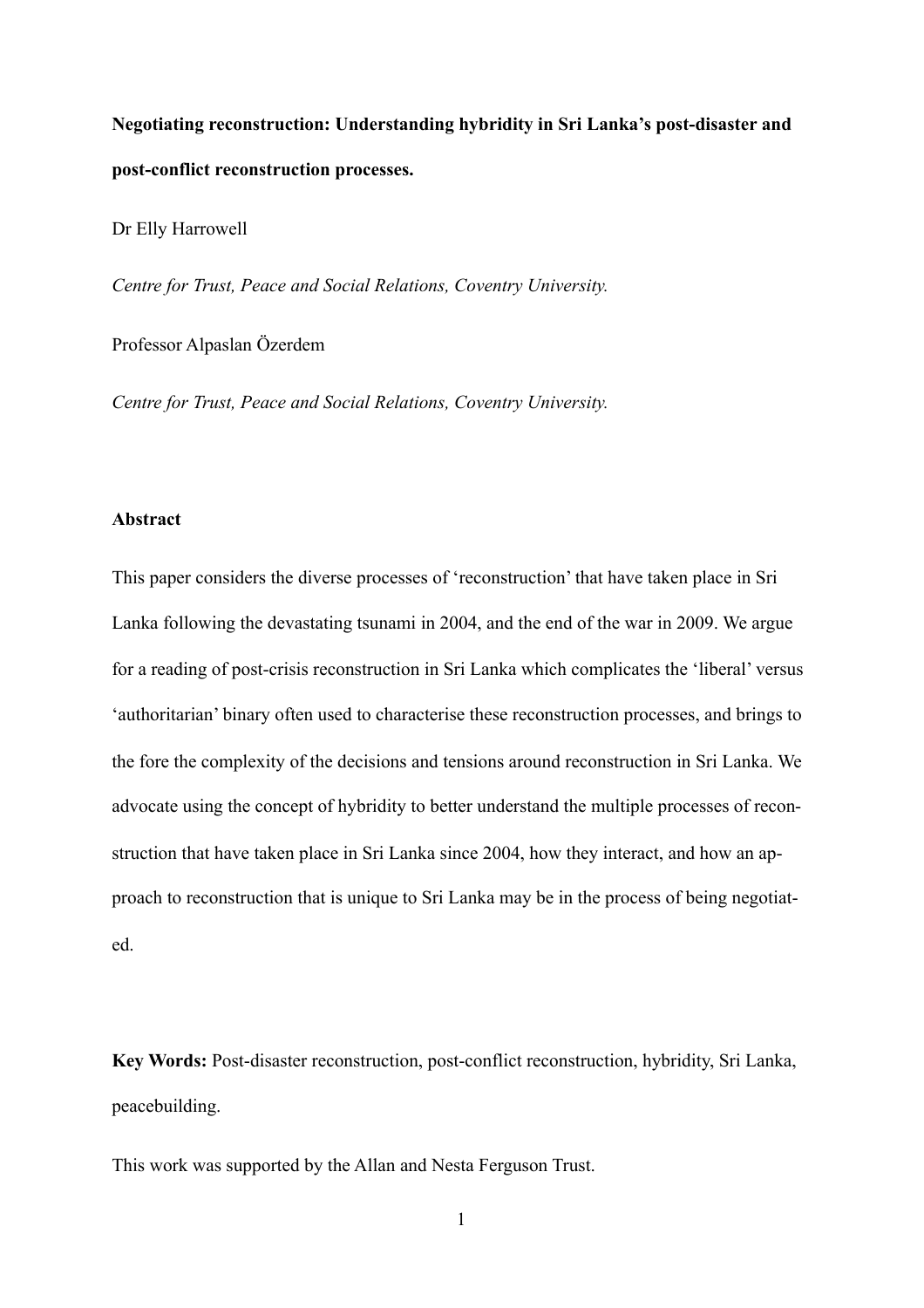**Negotiating reconstruction: Understanding hybridity in Sri Lanka's post-disaster and post-conflict reconstruction processes.** 

Dr Elly Harrowell

*Centre for Trust, Peace and Social Relations, Coventry University.* 

Professor Alpaslan Özerdem

*Centre for Trust, Peace and Social Relations, Coventry University.* 

# **Abstract**

This paper considers the diverse processes of 'reconstruction' that have taken place in Sri Lanka following the devastating tsunami in 2004, and the end of the war in 2009. We argue for a reading of post-crisis reconstruction in Sri Lanka which complicates the 'liberal' versus 'authoritarian' binary often used to characterise these reconstruction processes, and brings to the fore the complexity of the decisions and tensions around reconstruction in Sri Lanka. We advocate using the concept of hybridity to better understand the multiple processes of reconstruction that have taken place in Sri Lanka since 2004, how they interact, and how an approach to reconstruction that is unique to Sri Lanka may be in the process of being negotiated.

**Key Words:** Post-disaster reconstruction, post-conflict reconstruction, hybridity, Sri Lanka, peacebuilding.

This work was supported by the Allan and Nesta Ferguson Trust.

1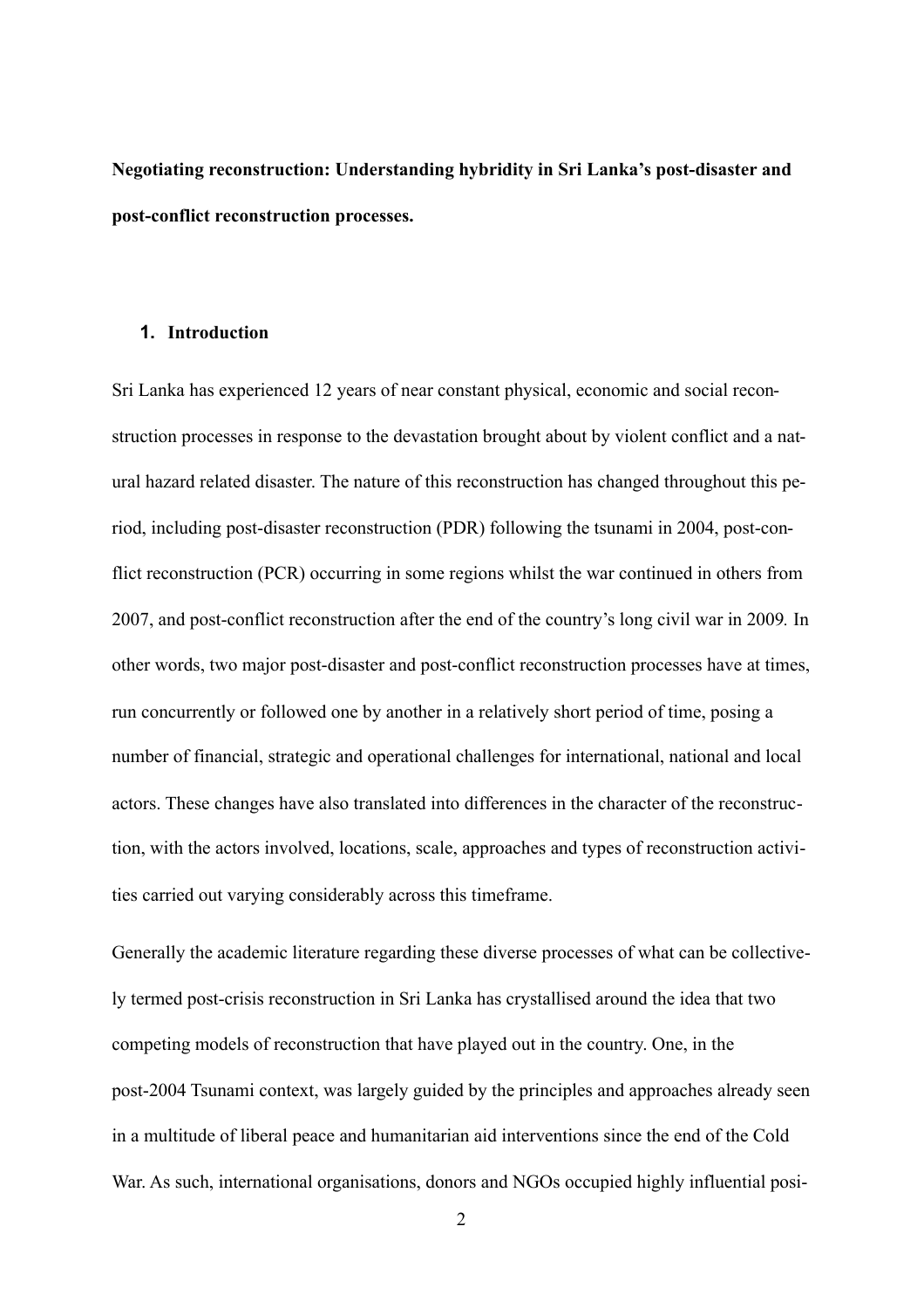**Negotiating reconstruction: Understanding hybridity in Sri Lanka's post-disaster and post-conflict reconstruction processes.** 

# **1. Introduction**

Sri Lanka has experienced 12 years of near constant physical, economic and social reconstruction processes in response to the devastation brought about by violent conflict and a natural hazard related disaster. The nature of this reconstruction has changed throughout this period, including post-disaster reconstruction (PDR) following the tsunami in 2004, post-conflict reconstruction (PCR) occurring in some regions whilst the war continued in others from 2007, and post-conflict reconstruction after the end of the country's long civil war in 2009*.* In other words, two major post-disaster and post-conflict reconstruction processes have at times, run concurrently or followed one by another in a relatively short period of time, posing a number of financial, strategic and operational challenges for international, national and local actors. These changes have also translated into differences in the character of the reconstruction, with the actors involved, locations, scale, approaches and types of reconstruction activities carried out varying considerably across this timeframe.

Generally the academic literature regarding these diverse processes of what can be collectively termed post-crisis reconstruction in Sri Lanka has crystallised around the idea that two competing models of reconstruction that have played out in the country. One, in the post-2004 Tsunami context, was largely guided by the principles and approaches already seen in a multitude of liberal peace and humanitarian aid interventions since the end of the Cold War. As such, international organisations, donors and NGOs occupied highly influential posi-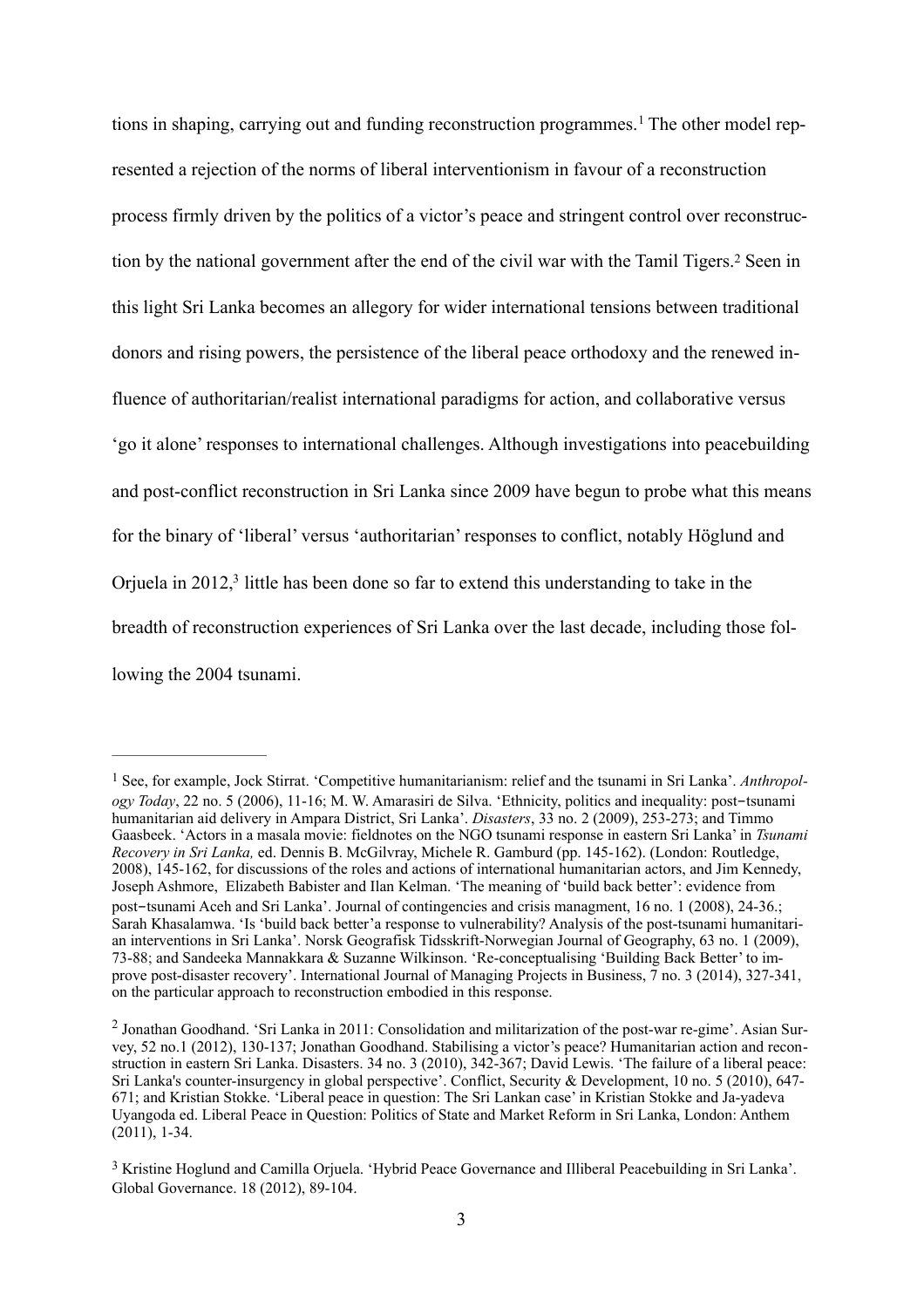<span id="page-3-4"></span><span id="page-3-3"></span> tion by the national government after the end of the civil war with the Tamil Tigers.[2](#page-3-1) Seen in tions in shaping, carrying out and funding reconstruction programmes.<sup>[1](#page-3-0)</sup> The other model represented a rejection of the norms of liberal interventionism in favour of a reconstruction process firmly driven by the politics of a victor's peace and stringent control over reconstructhis light Sri Lanka becomes an allegory for wider international tensions between traditional donors and rising powers, the persistence of the liberal peace orthodoxy and the renewed influence of authoritarian/realist international paradigms for action, and collaborative versus 'go it alone' responses to international challenges. Although investigations into peacebuilding and post-conflict reconstruction in Sri Lanka since 2009 have begun to probe what this means for the binary of 'liberal' versus 'authoritarian' responses to conflict, notably Höglund and Orjuela in  $2012<sup>3</sup>$  little has been done so far to extend this understanding to take in the breadth of reconstruction experiences of Sri Lanka over the last decade, including those following the 2004 tsunami.

<span id="page-3-5"></span><span id="page-3-0"></span>[<sup>1</sup>](#page-3-3) See, for example, Jock Stirrat. 'Competitive humanitarianism: relief and the tsunami in Sri Lanka'. *Anthropol ogy Today*, 22 no. 5 (2006), 11-16; M. W. Amarasiri de Silva. 'Ethnicity, politics and inequality: post-tsunami humanitarian aid delivery in Ampara District, Sri Lanka'. *Disasters*, 33 no. 2 (2009), 253-273; and Timmo Gaasbeek. 'Actors in a masala movie: fieldnotes on the NGO tsunami response in eastern Sri Lanka' in *Tsunami Recovery in Sri Lanka,* ed. Dennis B. McGilvray, Michele R. Gamburd (pp. 145-162). (London: Routledge, 2008), 145-162, for discussions of the roles and actions of international humanitarian actors, and Jim Kennedy, Joseph Ashmore, Elizabeth Babister and Ilan Kelman. 'The meaning of 'build back better': evidence from post-tsunami Aceh and Sri Lanka'. Journal of contingencies and crisis managment, 16 no. 1 (2008), 24-36.; Sarah Khasalamwa. 'Is 'build back better'a response to vulnerability? Analysis of the post-tsunami humanitarian interventions in Sri Lanka'. Norsk Geografisk Tidsskrift-Norwegian Journal of Geography, 63 no. 1 (2009), 73-88; and Sandeeka Mannakkara & Suzanne Wilkinson. 'Re-conceptualising 'Building Back Better' to improve post-disaster recovery'. International Journal of Managing Projects in Business, 7 no. 3 (2014), 327-341, on the particular approach to reconstruction embodied in this response.

<span id="page-3-1"></span> Uyangoda ed. Liberal Peace in Question: Politics of State and Market Reform in Sri Lanka, London: Anthem [2](#page-3-4) Jonathan Goodhand. 'Sri Lanka in 2011: Consolidation and militarization of the post-war re-gime'. Asian Survey, 52 no.1 (2012), 130-137; Jonathan Goodhand. Stabilising a victor's peace? Humanitarian action and reconstruction in eastern Sri Lanka. Disasters. 34 no. 3 (2010), 342-367; David Lewis. 'The failure of a liberal peace: Sri Lanka's counter-insurgency in global perspective'. Conflict, Security & Development, 10 no. 5 (2010), 647- 671; and Kristian Stokke. 'Liberal peace in question: The Sri Lankan case' in Kristian Stokke and Ja-yadeva  $(2011)$ , 1-34.

<span id="page-3-2"></span>[<sup>3</sup>](#page-3-5) Kristine Hoglund and Camilla Orjuela. 'Hybrid Peace Governance and Illiberal Peacebuilding in Sri Lanka'. Global Governance. 18 (2012), 89-104.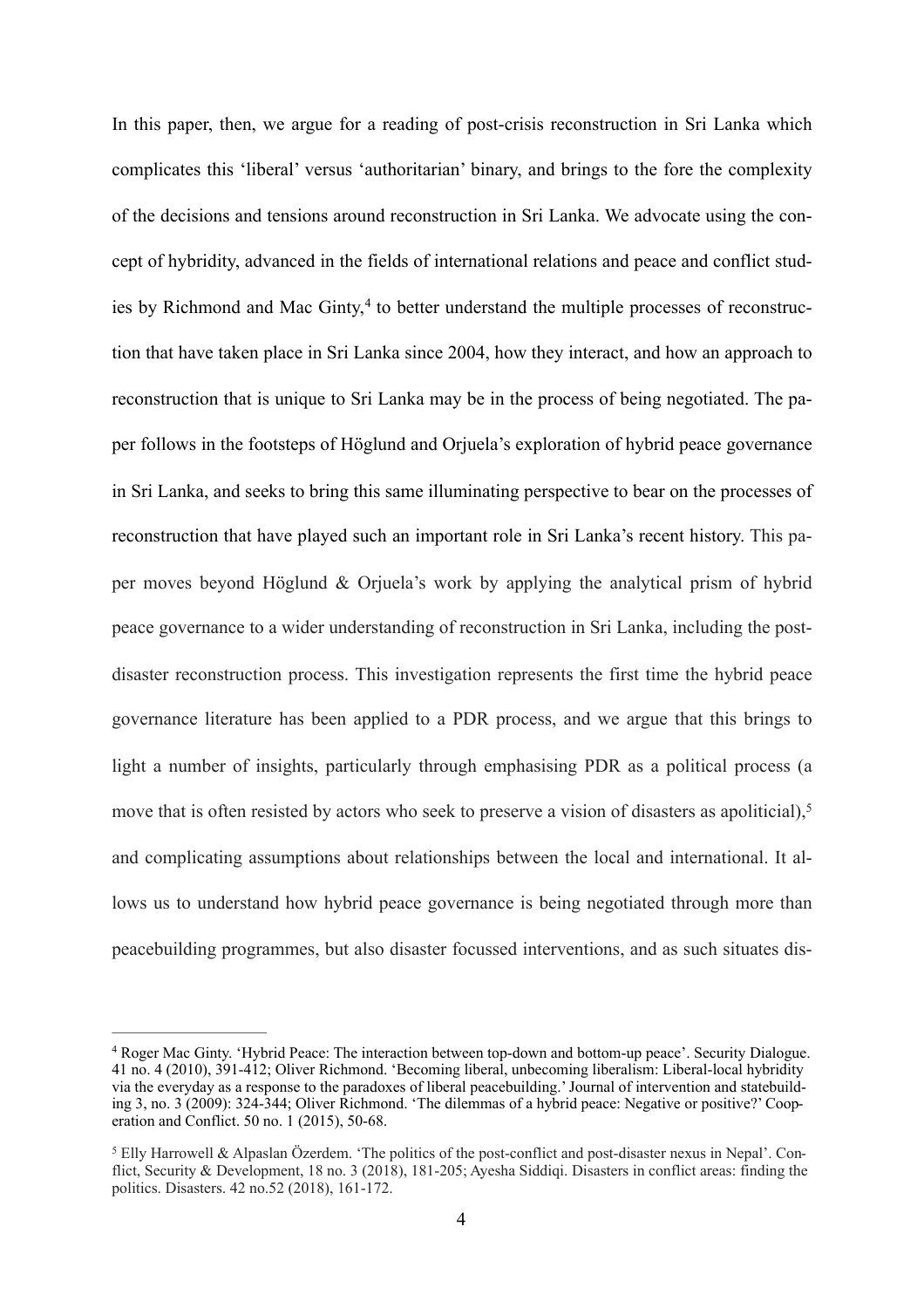<span id="page-4-2"></span> In this paper, then, we argue for a reading of post-crisis reconstruction in Sri Lanka which complicates this 'liberal' versus 'authoritarian' binary, and brings to the fore the complexity of the decisions and tensions around reconstruction in Sri Lanka. We advocate using the con- cept of hybridity, advanced in the fields of international relations and peace and conflict stud-ies by Richmond and Mac Ginty,<sup>[4](#page-4-0)</sup> to better understand the multiple processes of reconstruc- tion that have taken place in Sri Lanka since 2004, how they interact, and how an approach to reconstruction that is unique to Sri Lanka may be in the process of being negotiated. The pa- per follows in the footsteps of Höglund and Orjuela's exploration of hybrid peace governance in Sri Lanka, and seeks to bring this same illuminating perspective to bear on the processes of reconstruction that have played such an important role in Sri Lanka's recent history. This pa- per moves beyond Höglund & Orjuela's work by applying the analytical prism of hybrid peace governance to a wider understanding of reconstruction in Sri Lanka, including the post- disaster reconstruction process. This investigation represents the first time the hybrid peace governance literature has been applied to a PDR process, and we argue that this brings to light a number of insights, particularly through emphasising PDR as a political process (a move that is often resisted by actors who seek to preserve a vision of disasters as apoliticial),<sup>5</sup> and complicating assumptions about relationships between the local and international. It al- lows us to understand how hybrid peace governance is being negotiated through more than peacebuilding programmes, but also disaster focussed interventions, and as such situates dis-

<span id="page-4-3"></span><span id="page-4-0"></span>[<sup>4</sup>](#page-4-2) Roger Mac Ginty. 'Hybrid Peace: The interaction between top-down and bottom-up peace'. Security Dialogue. 41 no. 4 (2010), 391-412; Oliver Richmond. 'Becoming liberal, unbecoming liberalism: Liberal-local hybridity via the everyday as a response to the paradoxes of liberal peacebuilding.' Journal of intervention and statebuilding 3, no. 3 (2009): 324-344; Oliver Richmond. 'The dilemmas of a hybrid peace: Negative or positive?' Cooperation and Conflict. 50 no. 1 (2015), 50-68.

<span id="page-4-1"></span>[<sup>5</sup>](#page-4-3) Elly Harrowell & Alpaslan Özerdem. 'The politics of the post-conflict and post-disaster nexus in Nepal'. Conflict, Security & Development, 18 no. 3 (2018), 181-205; Ayesha Siddiqi. Disasters in conflict areas: finding the politics. Disasters. 42 no.52 (2018), 161-172.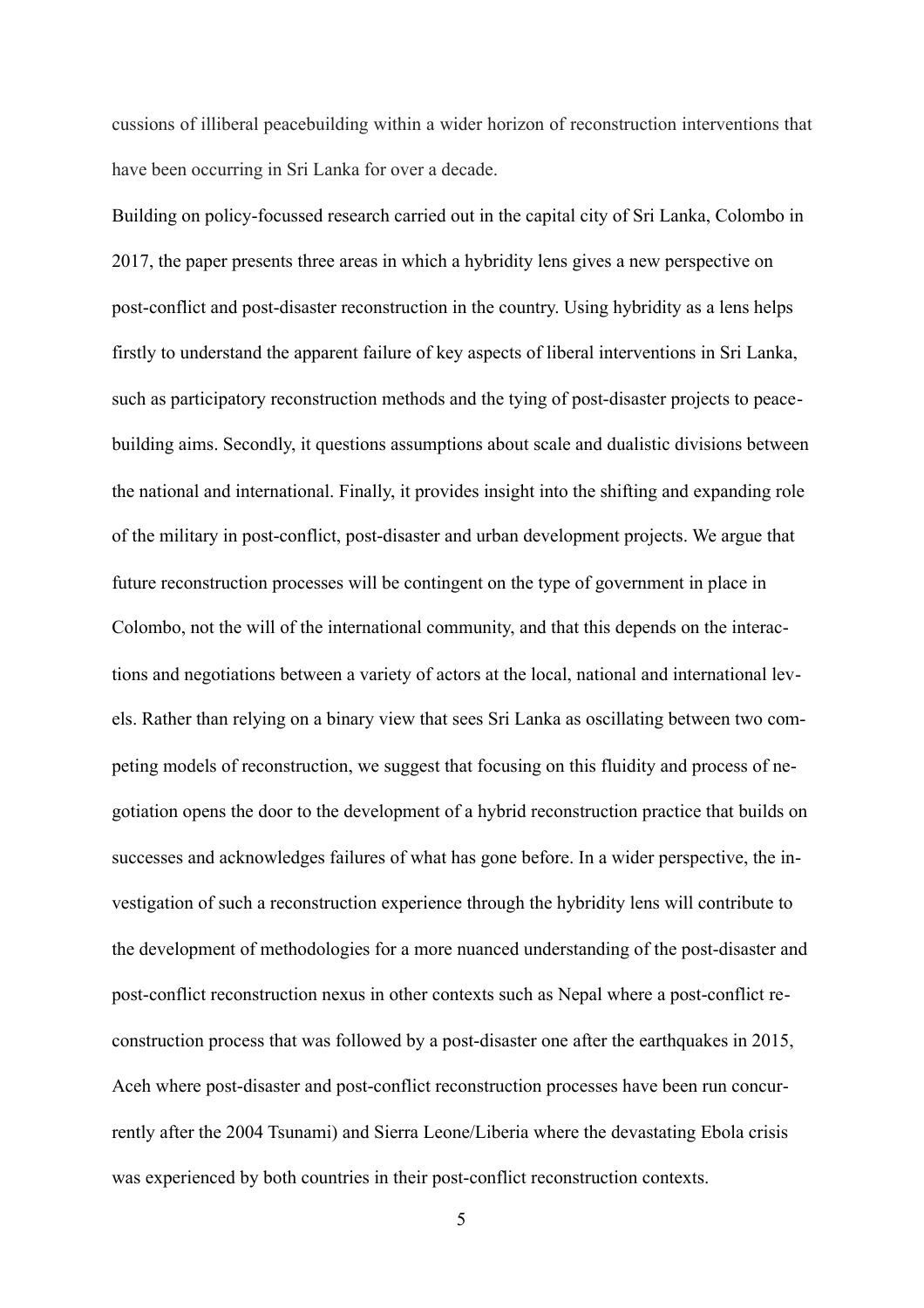cussions of illiberal peacebuilding within a wider horizon of reconstruction interventions that have been occurring in Sri Lanka for over a decade.

Building on policy-focussed research carried out in the capital city of Sri Lanka, Colombo in 2017, the paper presents three areas in which a hybridity lens gives a new perspective on post-conflict and post-disaster reconstruction in the country. Using hybridity as a lens helps firstly to understand the apparent failure of key aspects of liberal interventions in Sri Lanka, such as participatory reconstruction methods and the tying of post-disaster projects to peacebuilding aims. Secondly, it questions assumptions about scale and dualistic divisions between the national and international. Finally, it provides insight into the shifting and expanding role of the military in post-conflict, post-disaster and urban development projects. We argue that future reconstruction processes will be contingent on the type of government in place in Colombo, not the will of the international community, and that this depends on the interactions and negotiations between a variety of actors at the local, national and international levels. Rather than relying on a binary view that sees Sri Lanka as oscillating between two competing models of reconstruction, we suggest that focusing on this fluidity and process of negotiation opens the door to the development of a hybrid reconstruction practice that builds on successes and acknowledges failures of what has gone before. In a wider perspective, the investigation of such a reconstruction experience through the hybridity lens will contribute to the development of methodologies for a more nuanced understanding of the post-disaster and post-conflict reconstruction nexus in other contexts such as Nepal where a post-conflict reconstruction process that was followed by a post-disaster one after the earthquakes in 2015, Aceh where post-disaster and post-conflict reconstruction processes have been run concurrently after the 2004 Tsunami) and Sierra Leone/Liberia where the devastating Ebola crisis was experienced by both countries in their post-conflict reconstruction contexts.

5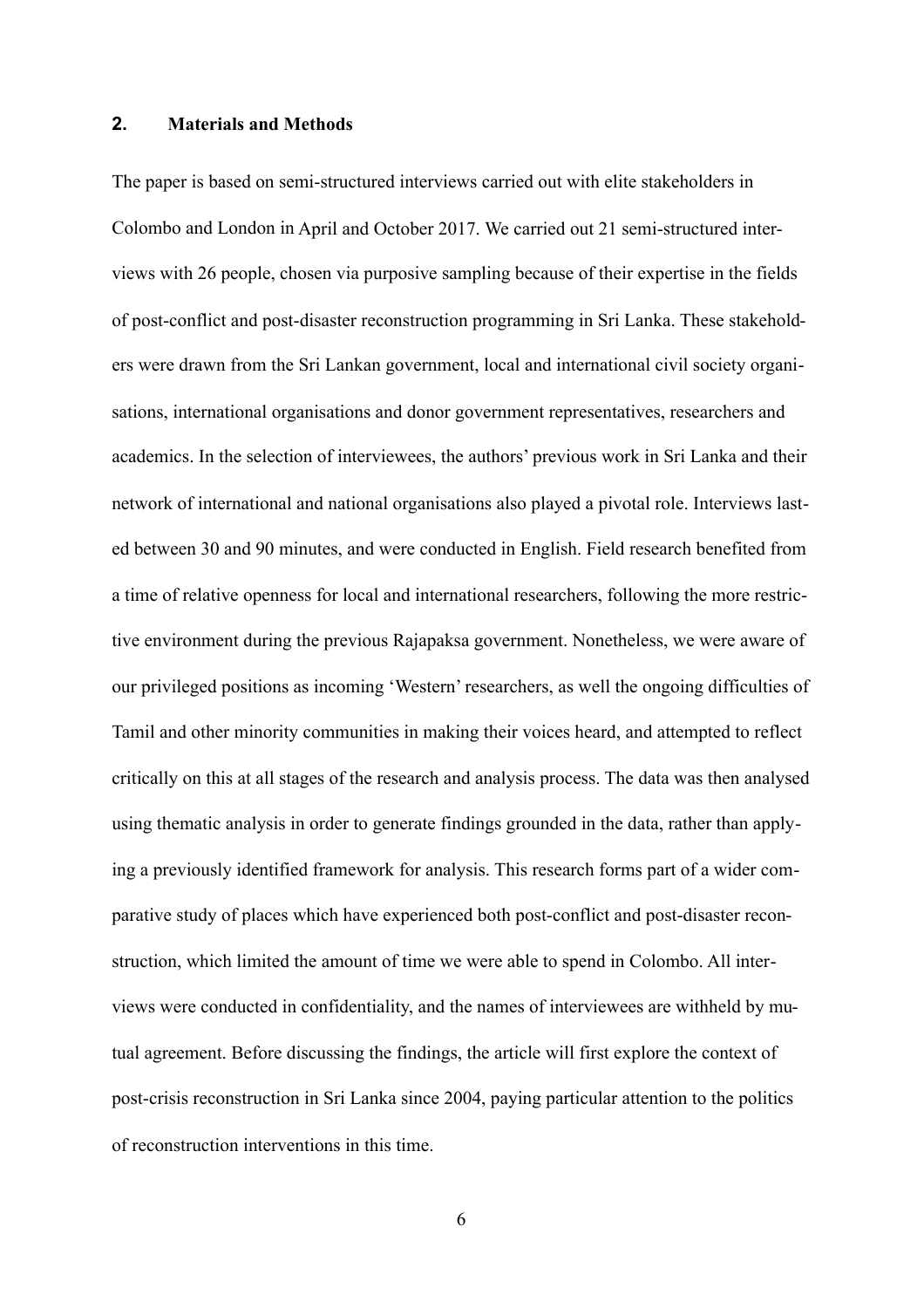### **2. Materials and Methods**

The paper is based on semi-structured interviews carried out with elite stakeholders in Colombo and London in April and October 2017. We carried out 21 semi-structured interviews with 26 people, chosen via purposive sampling because of their expertise in the fields of post-conflict and post-disaster reconstruction programming in Sri Lanka. These stakeholders were drawn from the Sri Lankan government, local and international civil society organisations, international organisations and donor government representatives, researchers and academics. In the selection of interviewees, the authors' previous work in Sri Lanka and their network of international and national organisations also played a pivotal role. Interviews lasted between 30 and 90 minutes, and were conducted in English. Field research benefited from a time of relative openness for local and international researchers, following the more restrictive environment during the previous Rajapaksa government. Nonetheless, we were aware of our privileged positions as incoming 'Western' researchers, as well the ongoing difficulties of Tamil and other minority communities in making their voices heard, and attempted to reflect critically on this at all stages of the research and analysis process. The data was then analysed using thematic analysis in order to generate findings grounded in the data, rather than applying a previously identified framework for analysis. This research forms part of a wider comparative study of places which have experienced both post-conflict and post-disaster reconstruction, which limited the amount of time we were able to spend in Colombo. All interviews were conducted in confidentiality, and the names of interviewees are withheld by mutual agreement. Before discussing the findings, the article will first explore the context of post-crisis reconstruction in Sri Lanka since 2004, paying particular attention to the politics of reconstruction interventions in this time.

6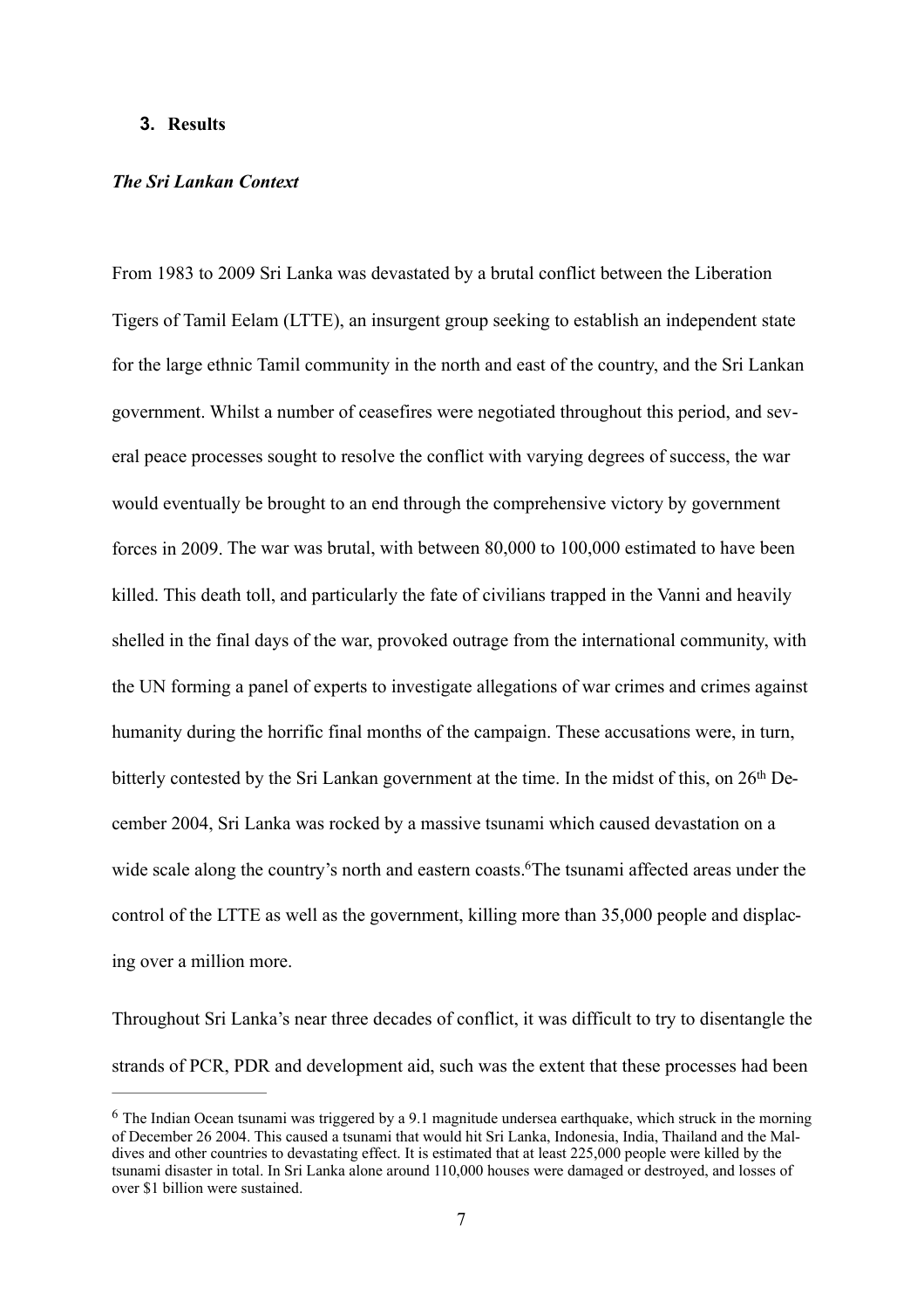### **3. Results**

# *The Sri Lankan Context*

From 1983 to 2009 Sri Lanka was devastated by a brutal conflict between the Liberation Tigers of Tamil Eelam (LTTE), an insurgent group seeking to establish an independent state for the large ethnic Tamil community in the north and east of the country, and the Sri Lankan government. Whilst a number of ceasefires were negotiated throughout this period, and several peace processes sought to resolve the conflict with varying degrees of success, the war would eventually be brought to an end through the comprehensive victory by government forces in 2009. The war was brutal, with between 80,000 to 100,000 estimated to have been killed. This death toll, and particularly the fate of civilians trapped in the Vanni and heavily shelled in the final days of the war, provoked outrage from the international community, with the UN forming a panel of experts to investigate allegations of war crimes and crimes against humanity during the horrific final months of the campaign. These accusations were, in turn, bitterly contested by the Sri Lankan government at the time. In the midst of this, on 26<sup>th</sup> December 2004, Sri Lanka was rocked by a massive tsunami which caused devastation on a wide scale along the country's north and eastern coasts[.](#page-7-0) The tsunami affected areas under the control of the LTTE as well as the government, killing more than 35,000 people and displacing over a million more.

<span id="page-7-1"></span>Throughout Sri Lanka's near three decades of conflict, it was difficult to try to disentangle the strands of PCR, PDR and development aid, such was the extent that these processes had been

<span id="page-7-0"></span>[<sup>6</sup>](#page-7-1) The Indian Ocean tsunami was triggered by a 9.1 magnitude undersea earthquake, which struck in the morning of December 26 2004. This caused a tsunami that would hit Sri Lanka, Indonesia, India, Thailand and the Maldives and other countries to devastating effect. It is estimated that at least 225,000 people were killed by the tsunami disaster in total. In Sri Lanka alone around 110,000 houses were damaged or destroyed, and losses of over \$1 billion were sustained.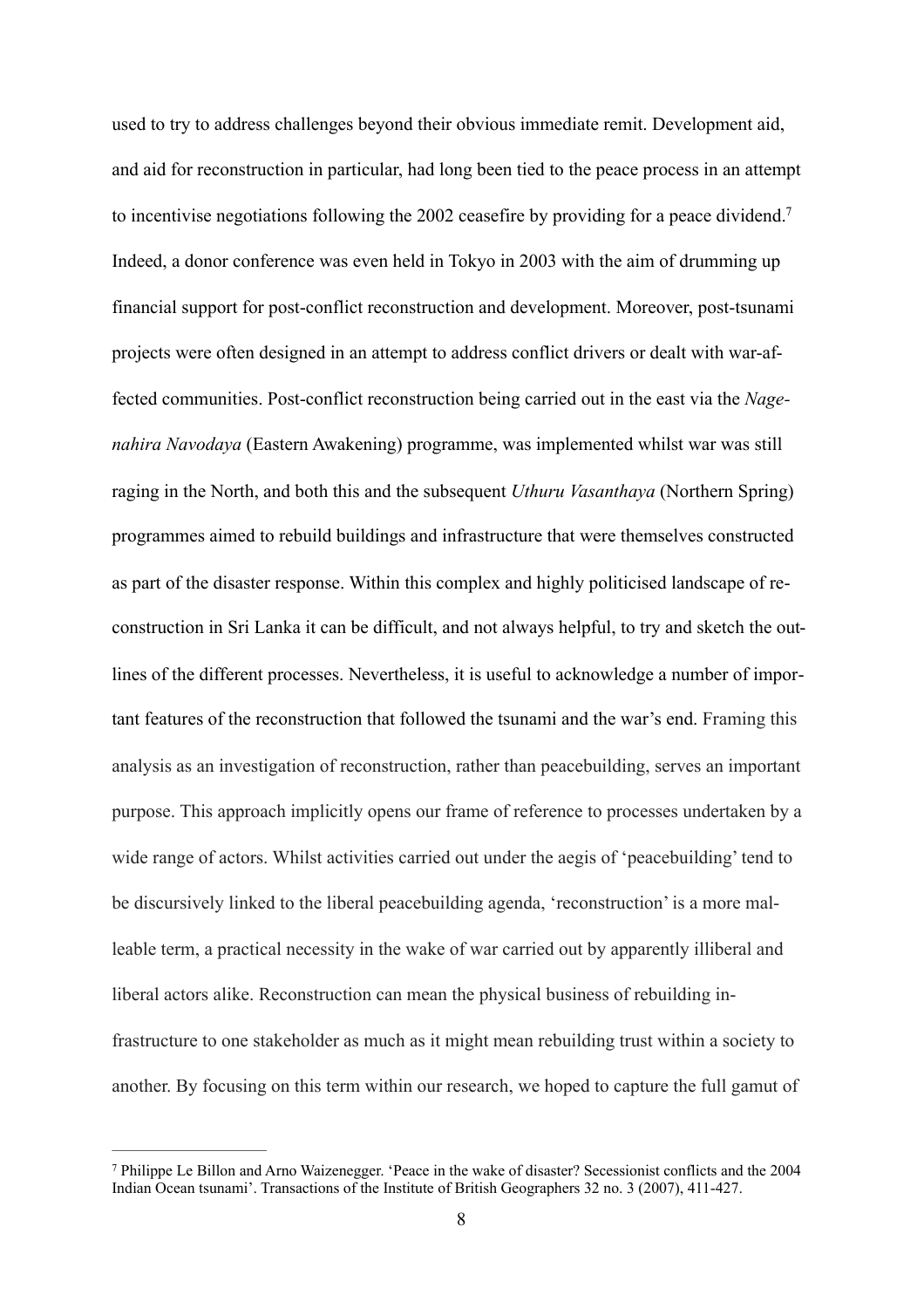<span id="page-8-1"></span>used to try to address challenges beyond their obvious immediate remit. Development aid, and aid for reconstruction in particular, had long been tied to the peace process in an attempt to incentivise negotiations following the 2002 ceasefire by providing for a peace dividend[.7](#page-8-0) Indeed, a donor conference was even held in Tokyo in 2003 with the aim of drumming up financial support for post-conflict reconstruction and development. Moreover, post-tsunami projects were often designed in an attempt to address conflict drivers or dealt with war-affected communities. Post-conflict reconstruction being carried out in the east via the *Nagenahira Navodaya* (Eastern Awakening) programme, was implemented whilst war was still raging in the North, and both this and the subsequent *Uthuru Vasanthaya* (Northern Spring) programmes aimed to rebuild buildings and infrastructure that were themselves constructed as part of the disaster response. Within this complex and highly politicised landscape of reconstruction in Sri Lanka it can be difficult, and not always helpful, to try and sketch the outlines of the different processes. Nevertheless, it is useful to acknowledge a number of important features of the reconstruction that followed the tsunami and the war's end. Framing this analysis as an investigation of reconstruction, rather than peacebuilding, serves an important purpose. This approach implicitly opens our frame of reference to processes undertaken by a wide range of actors. Whilst activities carried out under the aegis of 'peacebuilding' tend to be discursively linked to the liberal peacebuilding agenda, 'reconstruction' is a more malleable term, a practical necessity in the wake of war carried out by apparently illiberal and liberal actors alike. Reconstruction can mean the physical business of rebuilding infrastructure to one stakeholder as much as it might mean rebuilding trust within a society to another. By focusing on this term within our research, we hoped to capture the full gamut of

<span id="page-8-0"></span>[<sup>7</sup>](#page-8-1) Philippe Le Billon and Arno Waizenegger. 'Peace in the wake of disaster? Secessionist conflicts and the 2004 Indian Ocean tsunami'. Transactions of the Institute of British Geographers 32 no. 3 (2007), 411-427.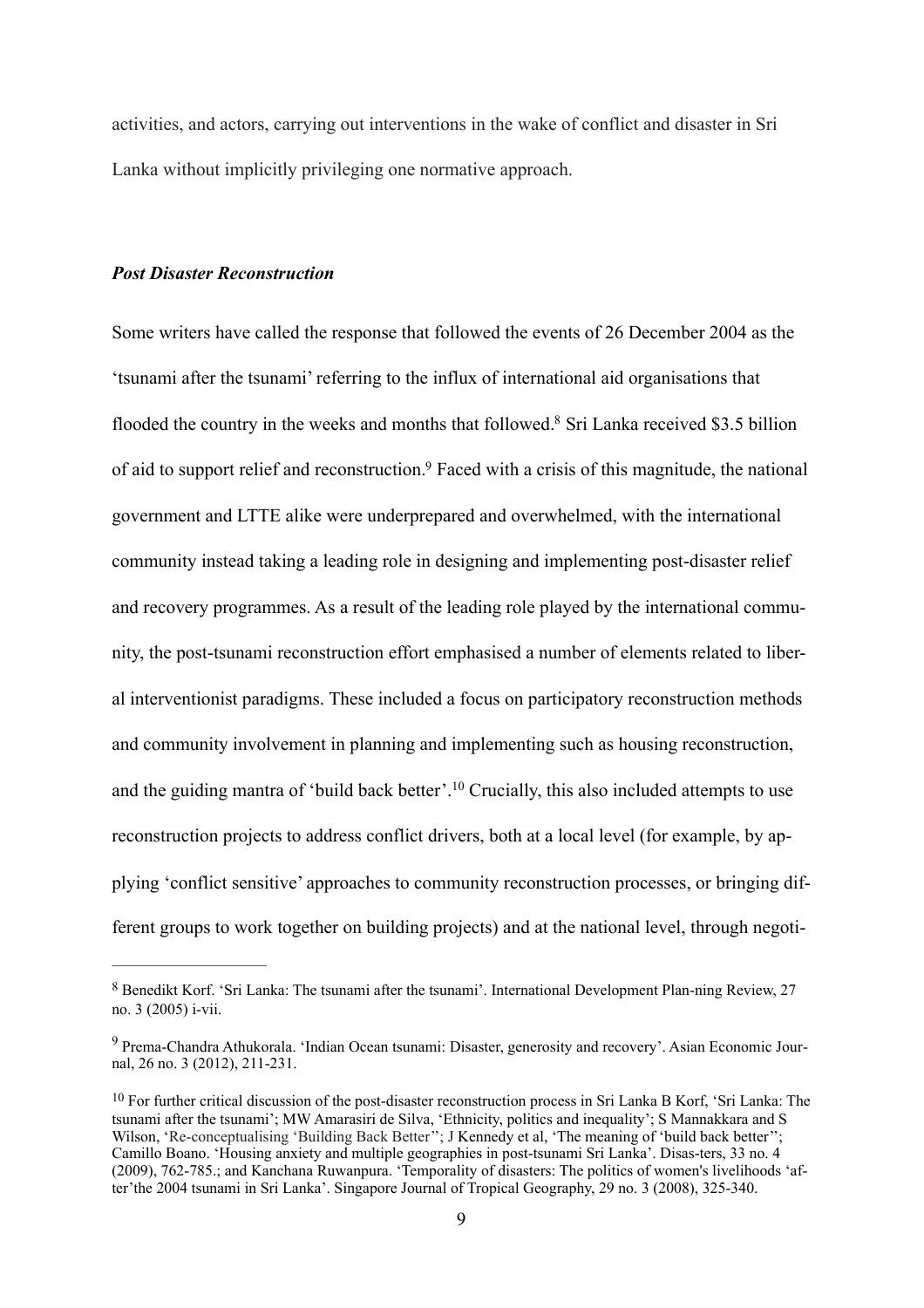activities, and actors, carrying out interventions in the wake of conflict and disaster in Sri Lanka without implicitly privileging one normative approach.

#### *Post Disaster Reconstruction*

<span id="page-9-4"></span><span id="page-9-3"></span>Some writers have called the response that followed the events of 26 December 2004 as the 'tsunami after the tsunami' referring to the influx of international aid organisations that flooded the country in the weeks and months that followed[.](#page-9-0)<sup>8</sup> Sri Lanka received \$3.5 billion of aid to support relief and reconstruction[.9](#page-9-1) Faced with a crisis of this magnitude, the national government and LTTE alike were underprepared and overwhelmed, with the international community instead taking a leading role in designing and implementing post-disaster relief and recovery programmes. As a result of the leading role played by the international community, the post-tsunami reconstruction effort emphasised a number of elements related to liberal interventionist paradigms. These included a focus on participatory reconstruction methods and community involvement in planning and implementing such as housing reconstruction, and the guiding mantra of 'build back better'.<sup>10</sup> Crucially, this also included attempts to use reconstruction projects to address conflict drivers, both at a local level (for example, by applying 'conflict sensitive' approaches to community reconstruction processes, or bringing different groups to work together on building projects) and at the national level, through negoti-

<span id="page-9-5"></span><span id="page-9-0"></span>[<sup>8</sup>](#page-9-3) Benedikt Korf. 'Sri Lanka: The tsunami after the tsunami'. International Development Plan-ning Review, 27 no. 3 (2005) i-vii.

<span id="page-9-1"></span>[<sup>9</sup>](#page-9-4) Prema-Chandra Athukorala. 'Indian Ocean tsunami: Disaster, generosity and recovery'. Asian Economic Journal, 26 no. 3 (2012), 211-231.

<span id="page-9-2"></span><sup>&</sup>lt;sup>[10](#page-9-5)</sup> For further critical discussion of the post-disaster reconstruction process in Sri Lanka B Korf, 'Sri Lanka: The tsunami after the tsunami'; MW Amarasiri de Silva, 'Ethnicity, politics and inequality'; S Mannakkara and S Wilson, 'Re-conceptualising 'Building Back Better''; J Kennedy et al, 'The meaning of 'build back better''; Camillo Boano. 'Housing anxiety and multiple geographies in post-tsunami Sri Lanka'. Disas-ters, 33 no. 4 (2009), 762-785.; and Kanchana Ruwanpura. 'Temporality of disasters: The politics of women's livelihoods 'after'the 2004 tsunami in Sri Lanka'. Singapore Journal of Tropical Geography, 29 no. 3 (2008), 325-340.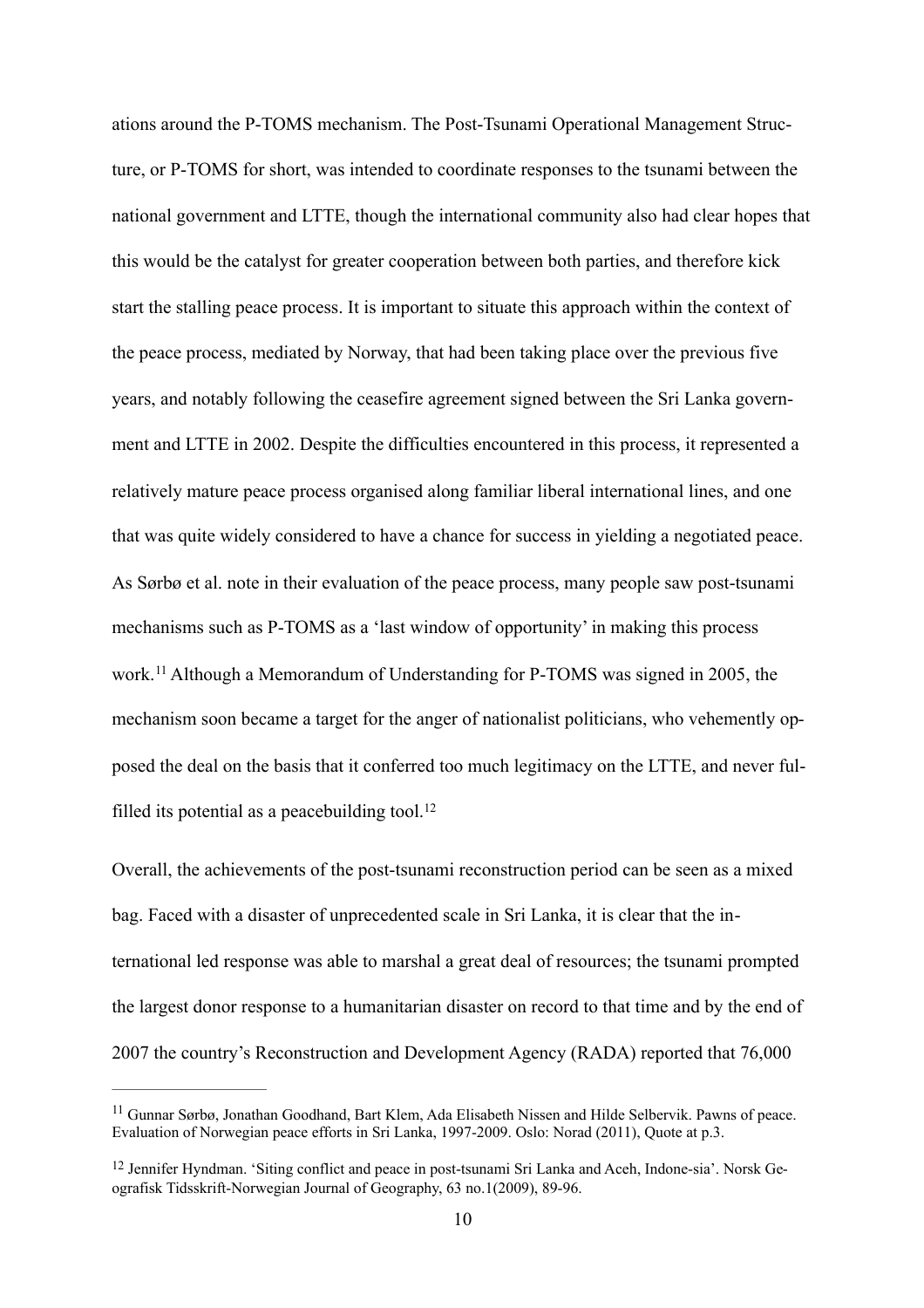ations around the P-TOMS mechanism. The Post-Tsunami Operational Management Structure, or P-TOMS for short, was intended to coordinate responses to the tsunami between the national government and LTTE, though the international community also had clear hopes that this would be the catalyst for greater cooperation between both parties, and therefore kick start the stalling peace process. It is important to situate this approach within the context of the peace process, mediated by Norway, that had been taking place over the previous five years, and notably following the ceasefire agreement signed between the Sri Lanka government and LTTE in 2002. Despite the difficulties encountered in this process, it represented a relatively mature peace process organised along familiar liberal international lines, and one that was quite widely considered to have a chance for success in yielding a negotiated peace. As Sørbø et al. note in their evaluation of the peace process, many people saw post-tsunami mechanisms such as P-TOMS as a 'last window of opportunity' in making this process work.<sup>[11](#page-10-0)</sup> Although a Memorandum of Understanding for P-TOMS was signed in 2005, the mechanism soon became a target for the anger of nationalist politicians, who vehemently opposed the deal on the basis that it conferred too much legitimacy on the LTTE, and never ful-filled its potential as a peacebuilding tool.<sup>[12](#page-10-1)</sup>

<span id="page-10-3"></span><span id="page-10-2"></span>Overall, the achievements of the post-tsunami reconstruction period can be seen as a mixed bag. Faced with a disaster of unprecedented scale in Sri Lanka, it is clear that the international led response was able to marshal a great deal of resources; the tsunami prompted the largest donor response to a humanitarian disaster on record to that time and by the end of 2007 the country's Reconstruction and Development Agency (RADA) reported that 76,000

<span id="page-10-0"></span>[<sup>11</sup>](#page-10-2) Gunnar Sørbø, Jonathan Goodhand, Bart Klem, Ada Elisabeth Nissen and Hilde Selbervik. Pawns of peace. Evaluation of Norwegian peace efforts in Sri Lanka, 1997-2009. Oslo: Norad (2011), Quote at p.3.

<span id="page-10-1"></span>[<sup>12</sup>](#page-10-3) Jennifer Hyndman. 'Siting conflict and peace in post-tsunami Sri Lanka and Aceh, Indone-sia'. Norsk Geografisk Tidsskrift-Norwegian Journal of Geography, 63 no.1(2009), 89-96.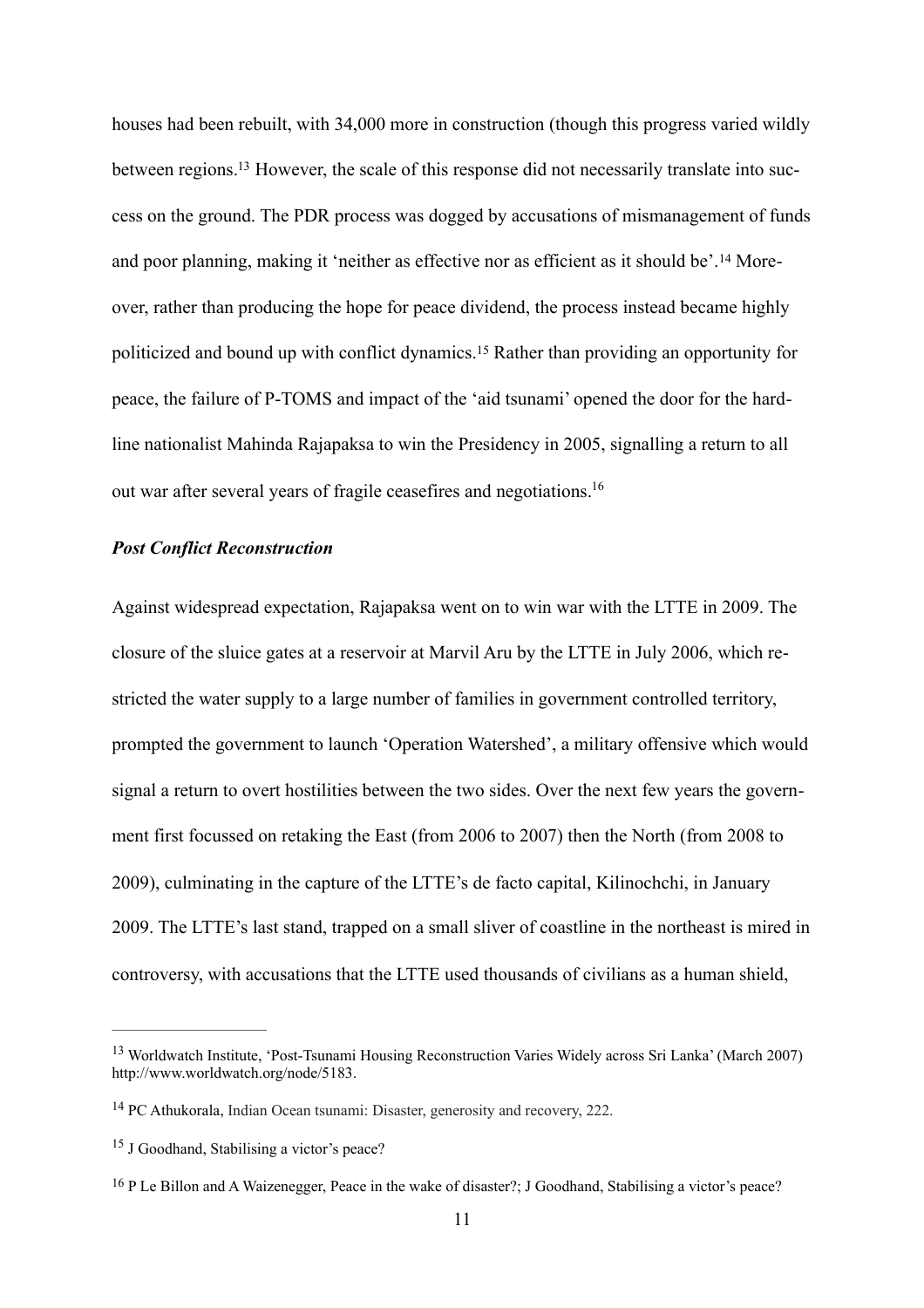<span id="page-11-5"></span><span id="page-11-4"></span>out war after several years of fragile ceasefires and negotiations.<sup>16</sup> houses had been rebuilt, with 34,000 more in construction (though this progress varied wildly between regions[.13](#page-11-0) However, the scale of this response did not necessarily translate into success on the ground. The PDR process was dogged by accusations of mismanagement of funds and poor planning, making it 'neither as effective nor as efficient as it should be'.[14](#page-11-1) Moreover, rather than producing the hope for peace dividend, the process instead became highly politicized and bound up with conflict dynamics.[15](#page-11-2) Rather than providing an opportunity for peace, the failure of P-TOMS and impact of the 'aid tsunami' opened the door for the hardline nationalist Mahinda Rajapaksa to win the Presidency in 2005, signalling a return to all

# <span id="page-11-7"></span><span id="page-11-6"></span>*Post Conflict Reconstruction*

Against widespread expectation, Rajapaksa went on to win war with the LTTE in 2009. The closure of the sluice gates at a reservoir at Marvil Aru by the LTTE in July 2006, which restricted the water supply to a large number of families in government controlled territory, prompted the government to launch 'Operation Watershed', a military offensive which would signal a return to overt hostilities between the two sides. Over the next few years the government first focussed on retaking the East (from 2006 to 2007) then the North (from 2008 to 2009), culminating in the capture of the LTTE's de facto capital, Kilinochchi, in January 2009. The LTTE's last stand, trapped on a small sliver of coastline in the northeast is mired in controversy, with accusations that the LTTE used thousands of civilians as a human shield,

<span id="page-11-0"></span>[<sup>13</sup>](#page-11-4) Worldwatch Institute, 'Post-Tsunami Housing Reconstruction Varies Widely across Sri Lanka' (March 2007) http://www.worldwatch.org/node/5183.

<span id="page-11-1"></span>[<sup>14</sup>](#page-11-5) PC Athukorala, Indian Ocean tsunami: Disaster, generosity and recovery, 222.

<span id="page-11-2"></span><sup>&</sup>lt;sup>[15](#page-11-6)</sup> J Goodhand, Stabilising a victor's peace?

<span id="page-11-3"></span>[<sup>16</sup>](#page-11-7) P Le Billon and A Waizenegger, Peace in the wake of disaster?; J Goodhand, Stabilising a victor's peace?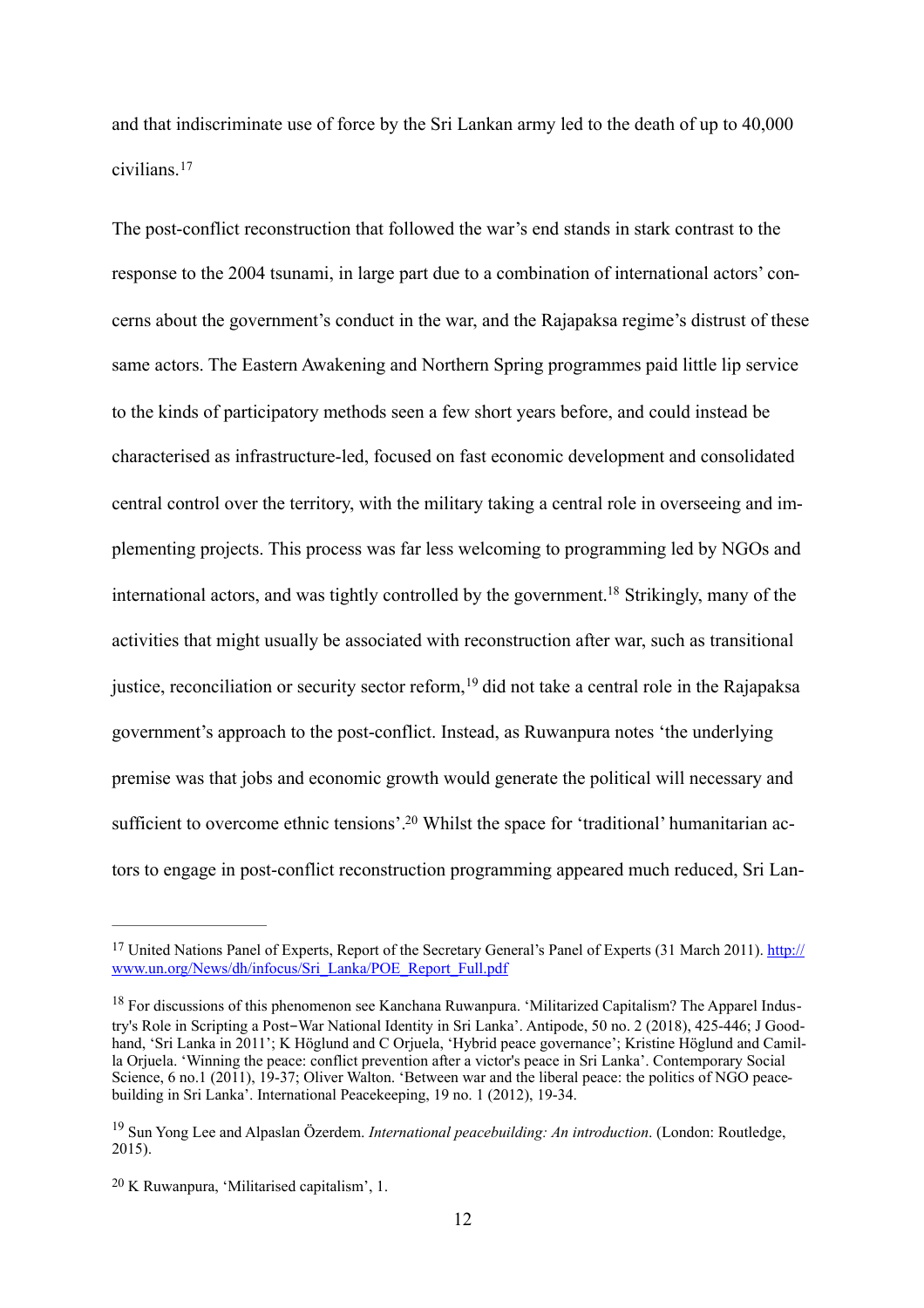and that indiscriminate use of force by the Sri Lankan army led to the death of up to 40,000 civilians.[17](#page-12-0)

<span id="page-12-4"></span>The post-conflict reconstruction that followed the war's end stands in stark contrast to the response to the 2004 tsunami, in large part due to a combination of international actors' concerns about the government's conduct in the war, and the Rajapaksa regime's distrust of these same actors. The Eastern Awakening and Northern Spring programmes paid little lip service to the kinds of participatory methods seen a few short years before, and could instead be characterised as infrastructure-led, focused on fast economic development and consolidated central control over the territory, with the military taking a central role in overseeing and implementing projects. This process was far less welcoming to programming led by NGOs and international actors, and was tightly controlled by the government[.18](#page-12-1) Strikingly, many of the activities that might usually be associated with reconstruction after war, such as transitional justice, reconciliation or security sector reform,<sup>19</sup> did not take a central role in the Rajapaksa government's approach to the post-conflict. Instead, as Ruwanpura notes 'the underlying premise was that jobs and economic growth would generate the political will necessary and sufficient to overcome ethnic tensions'.<sup>20</sup> Whilst the space for 'traditional' humanitarian actors to engage in post-conflict reconstruction programming appeared much reduced, Sri Lan-

<span id="page-12-7"></span><span id="page-12-6"></span><span id="page-12-5"></span><span id="page-12-0"></span>[<sup>17</sup>](#page-12-4) [United Nations Panel of Experts, Report of the Secretary General's Panel of Experts \(31 March 2011\). http://](http://www.un.org/News/dh/infocus/Sri_Lanka/POE_Report_Full.pdf) www.un.org/News/dh/infocus/Sri\_Lanka/POE\_Report\_Full.pdf

<span id="page-12-1"></span><sup>&</sup>lt;sup>[18](#page-12-5)</sup> For discussions of this phenomenon see Kanchana Ruwanpura. 'Militarized Capitalism? The Apparel Industry's Role in Scripting a Post-War National Identity in Sri Lanka'. Antipode, 50 no. 2 (2018), 425-446; J Goodhand, 'Sri Lanka in 2011'; K Höglund and C Orjuela, 'Hybrid peace governance'; Kristine Höglund and Camilla Orjuela. 'Winning the peace: conflict prevention after a victor's peace in Sri Lanka'. Contemporary Social Science, 6 no.1 (2011), 19-37; Oliver Walton. 'Between war and the liberal peace: the politics of NGO peacebuilding in Sri Lanka'. International Peacekeeping, 19 no. 1 (2012), 19-34.

<span id="page-12-2"></span>[<sup>19</sup>](#page-12-6) Sun Yong Lee and Alpaslan Özerdem. *International peacebuilding: An introduction*. (London: Routledge, 2015).

<span id="page-12-3"></span>[<sup>20</sup>](#page-12-7) K Ruwanpura, 'Militarised capitalism', 1.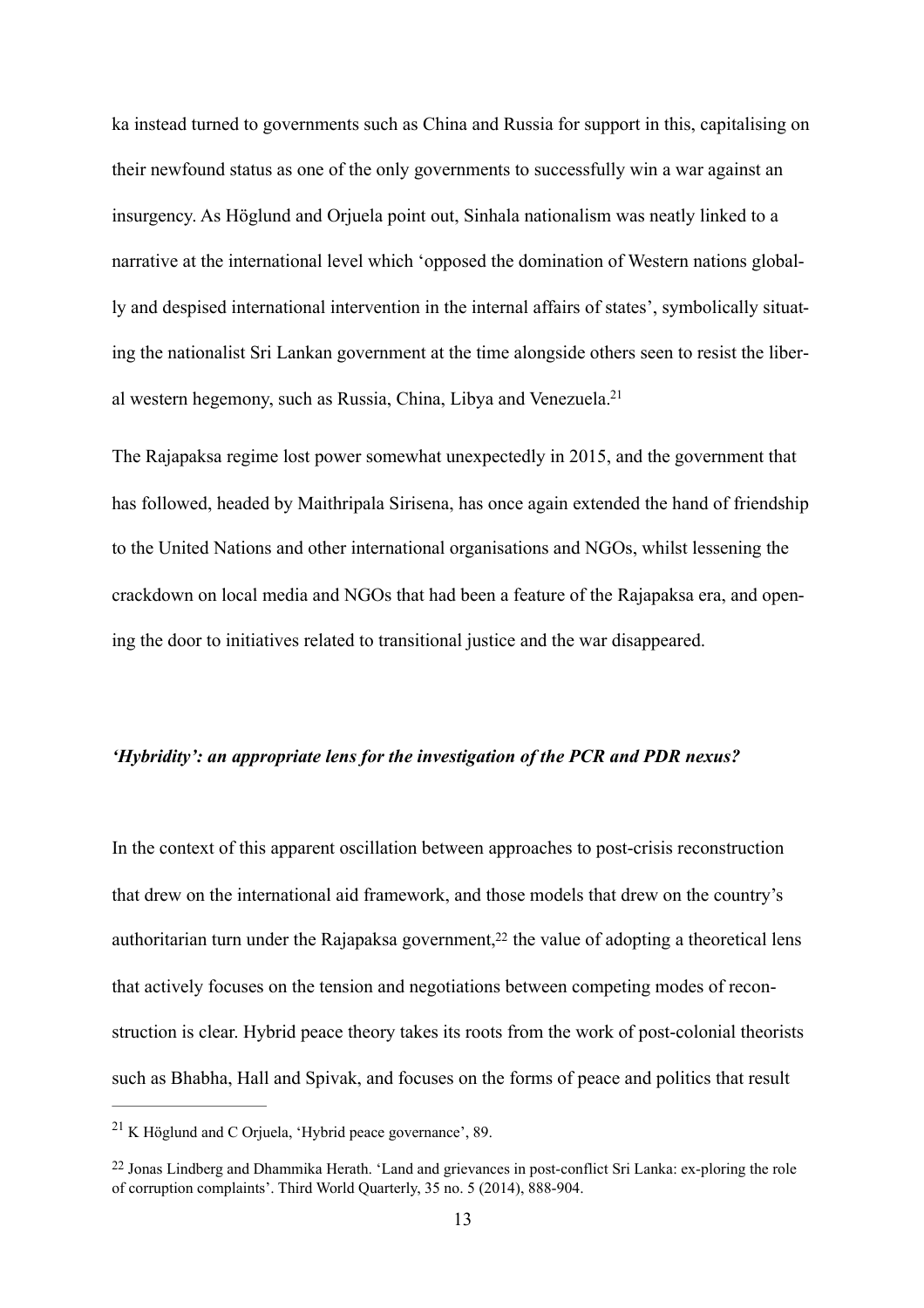ka instead turned to governments such as China and Russia for support in this, capitalising on their newfound status as one of the only governments to successfully win a war against an insurgency. As Höglund and Orjuela point out, Sinhala nationalism was neatly linked to a narrative at the international level which 'opposed the domination of Western nations globally and despised international intervention in the internal affairs of states', symbolically situating the nationalist Sri Lankan government at the time alongside others seen to resist the liberal western hegemony, such as Russia, China, Libya and Venezuela[.21](#page-13-0)

<span id="page-13-2"></span>The Rajapaksa regime lost power somewhat unexpectedly in 2015, and the government that has followed, headed by Maithripala Sirisena, has once again extended the hand of friendship to the United Nations and other international organisations and NGOs, whilst lessening the crackdown on local media and NGOs that had been a feature of the Rajapaksa era, and opening the door to initiatives related to transitional justice and the war disappeared.

# *'Hybridity': an appropriate lens for the investigation of the PCR and PDR nexus?*

<span id="page-13-3"></span>In the context of this apparent oscillation between approaches to post-crisis reconstruction that drew on the international aid framework, and those models that drew on the country's authoritarian turn under the Rajapaksa government,<sup>22</sup> the value of adopting a theoretical lens that actively focuses on the tension and negotiations between competing modes of reconstruction is clear. Hybrid peace theory takes its roots from the work of post-colonial theorists such as Bhabha, Hall and Spivak, and focuses on the forms of peace and politics that result

<span id="page-13-0"></span><sup>&</sup>lt;sup>[21](#page-13-2)</sup> K Höglund and C Oriuela, 'Hybrid peace governance', 89.

<span id="page-13-1"></span>[<sup>22</sup>](#page-13-3) Jonas Lindberg and Dhammika Herath. 'Land and grievances in post-conflict Sri Lanka: ex-ploring the role of corruption complaints'. Third World Quarterly, 35 no. 5 (2014), 888-904.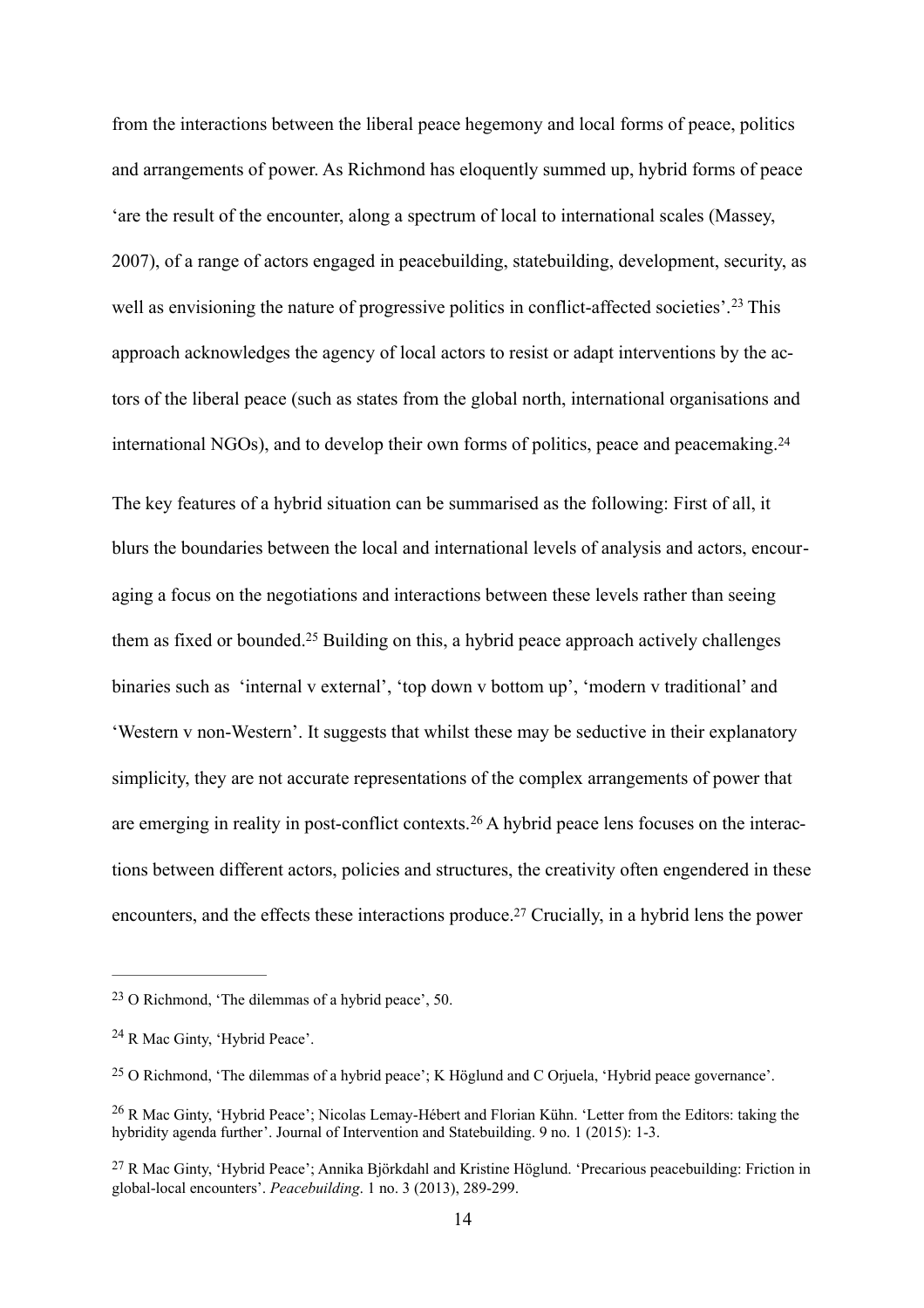well as envisioning the nature of progressive politics in conflict-affected societies'.<sup>[23](#page-14-0)</sup> This international NGOs), and to develop their own forms of politics, peace and peacemaking.[24](#page-14-1) from the interactions between the liberal peace hegemony and local forms of peace, politics and arrangements of power. As Richmond has eloquently summed up, hybrid forms of peace 'are the result of the encounter, along a spectrum of local to international scales (Massey, 2007), of a range of actors engaged in peacebuilding, statebuilding, development, security, as approach acknowledges the agency of local actors to resist or adapt interventions by the actors of the liberal peace (such as states from the global north, international organisations and

<span id="page-14-7"></span><span id="page-14-6"></span><span id="page-14-5"></span>The key features of a hybrid situation can be summarised as the following: First of all, it blurs the boundaries between the local and international levels of analysis and actors, encouraging a focus on the negotiations and interactions between these levels rather than seeing them as fixed or bounded.[25](#page-14-2) Building on this, a hybrid peace approach actively challenges binaries such as 'internal v external', 'top down v bottom up', 'modern v traditional' and 'Western v non-Western'. It suggests that whilst these may be seductive in their explanatory simplicity, they are not accurate representations of the complex arrangements of power that are emerging in reality in post-conflict contexts.[26](#page-14-3) A hybrid peace lens focuses on the interactions between different actors, policies and structures, the creativity often engendered in these encounters, and the effects these interactions produce[.27](#page-14-4) Crucially, in a hybrid lens the power

<span id="page-14-9"></span><span id="page-14-8"></span><span id="page-14-0"></span>[<sup>23</sup>](#page-14-5) O Richmond, 'The dilemmas of a hybrid peace', 50.

<span id="page-14-1"></span><sup>&</sup>lt;sup>[24](#page-14-6)</sup> R Mac Ginty, 'Hybrid Peace'.

<span id="page-14-2"></span>[<sup>25</sup>](#page-14-7) O Richmond, 'The dilemmas of a hybrid peace'; K Höglund and C Orjuela, 'Hybrid peace governance'.

<span id="page-14-3"></span>[<sup>26</sup>](#page-14-8) R Mac Ginty, 'Hybrid Peace'; Nicolas Lemay-Hébert and Florian Kühn. 'Letter from the Editors: taking the hybridity agenda further'. Journal of Intervention and Statebuilding. 9 no. 1 (2015): 1-3.

<span id="page-14-4"></span>[<sup>27</sup>](#page-14-9) R Mac Ginty, 'Hybrid Peace'; Annika Björkdahl and Kristine Höglund. 'Precarious peacebuilding: Friction in global-local encounters'. *Peacebuilding*. 1 no. 3 (2013), 289-299.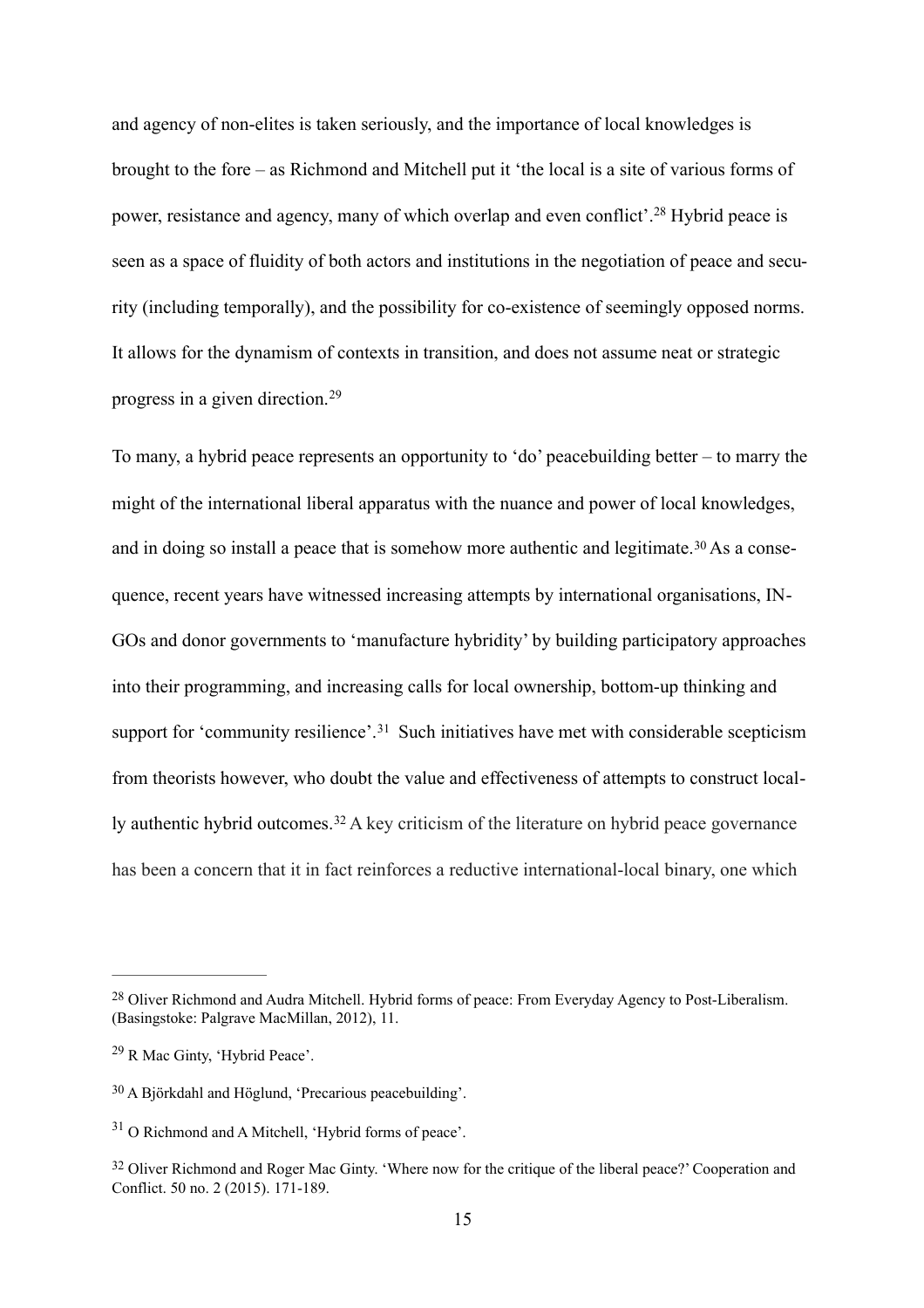<span id="page-15-5"></span>and agency of non-elites is taken seriously, and the importance of local knowledges is brought to the fore – as Richmond and Mitchell put it 'the local is a site of various forms of power, resistance and agency, many of which overlap and even conflict'.[28](#page-15-0) Hybrid peace is seen as a space of fluidity of both actors and institutions in the negotiation of peace and security (including temporally), and the possibility for co-existence of seemingly opposed norms. It allows for the dynamism of contexts in transition, and does not assume neat or strategic progress in a given direction.[29](#page-15-1)

<span id="page-15-7"></span><span id="page-15-6"></span>To many, a hybrid peace represents an opportunity to 'do' peacebuilding better – to marry the might of the international liberal apparatus with the nuance and power of local knowledges, and in doing so install a peace that is somehow more authentic and legitimate.[30](#page-15-2) As a consequence, recent years have witnessed increasing attempts by international organisations, IN-GOs and donor governments to 'manufacture hybridity' by building participatory approaches into their programming, and increasing calls for local ownership, bottom-up thinking and support for 'community resilience'.<sup>[31](#page-15-3)</sup> Such initiatives have met with considerable scepticism from theorists however, who doubt the value and effectiveness of attempts to construct locally authentic hybrid outcomes.[32](#page-15-4) A key criticism of the literature on hybrid peace governance has been a concern that it in fact reinforces a reductive international-local binary, one which

<span id="page-15-9"></span><span id="page-15-8"></span><span id="page-15-0"></span>[<sup>28</sup>](#page-15-5) Oliver Richmond and Audra Mitchell. Hybrid forms of peace: From Everyday Agency to Post-Liberalism. (Basingstoke: Palgrave MacMillan, 2012), 11.

<span id="page-15-1"></span>[<sup>29</sup>](#page-15-6) R Mac Ginty, 'Hybrid Peace'.

<span id="page-15-2"></span>[<sup>30</sup>](#page-15-7) A Björkdahl and Höglund, 'Precarious peacebuilding'.

<span id="page-15-3"></span><sup>&</sup>lt;sup>[31](#page-15-8)</sup> O Richmond and A Mitchell. 'Hybrid forms of peace'.

<span id="page-15-4"></span><sup>&</sup>lt;sup>[32](#page-15-9)</sup> Oliver Richmond and Roger Mac Ginty. 'Where now for the critique of the liberal peace?' Cooperation and Conflict. 50 no. 2 (2015). 171-189.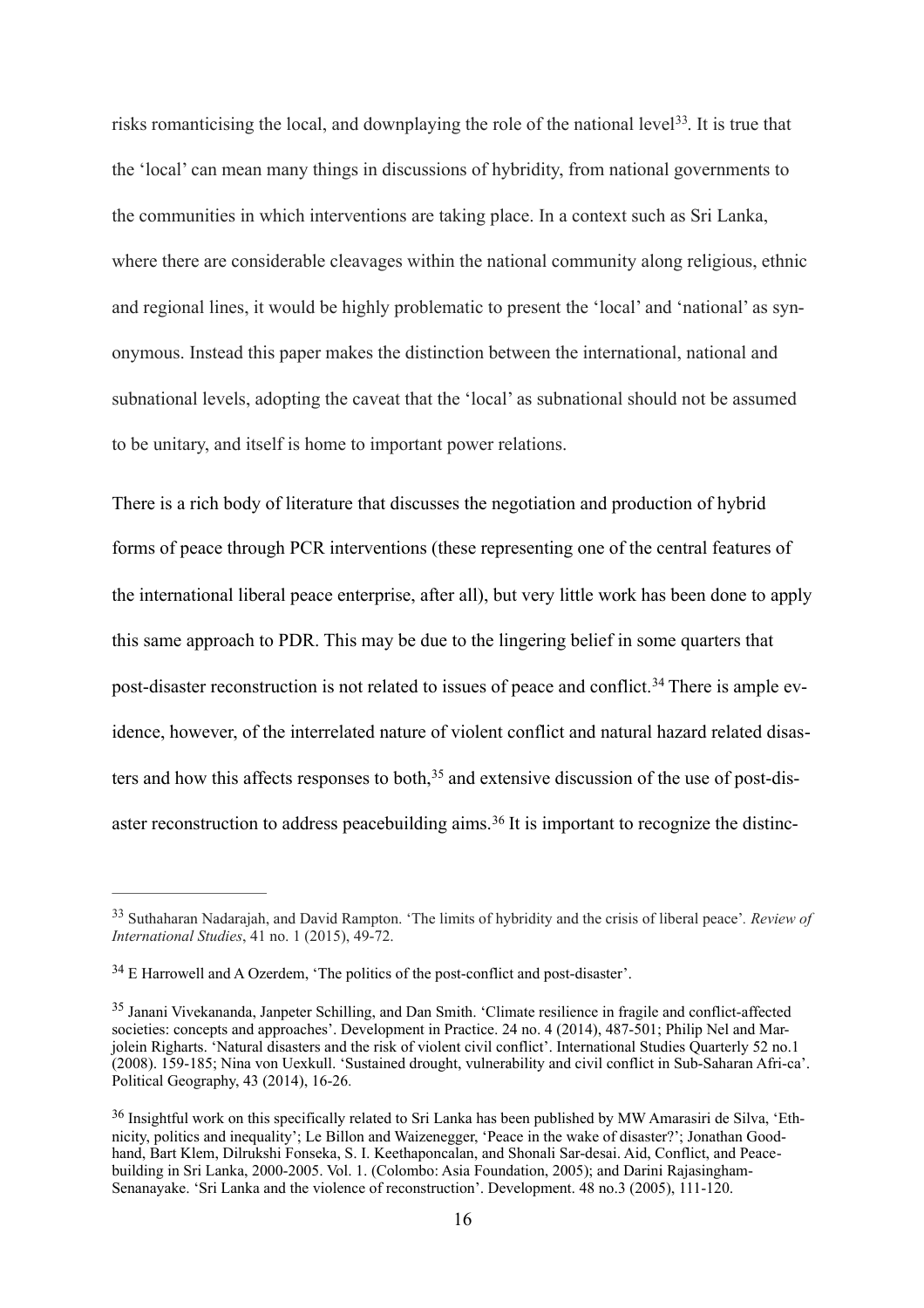<span id="page-16-4"></span>to be unitary, and itself is home to important power relations. risks romanticising the local, and downplaying the role of the national level<sup>33</sup>. It is true that the 'local' can mean many things in discussions of hybridity, from national governments to the communities in which interventions are taking place. In a context such as Sri Lanka, where there are considerable cleavages within the national community along religious, ethnic and regional lines, it would be highly problematic to present the 'local' and 'national' as synonymous. Instead this paper makes the distinction between the international, national and subnational levels, adopting the caveat that the 'local' as subnational should not be assumed

<span id="page-16-5"></span>There is a rich body of literature that discusses the negotiation and production of hybrid forms of peace through PCR interventions (these representing one of the central features of the international liberal peace enterprise, after all), but very little work has been done to apply this same approach to PDR. This may be due to the lingering belief in some quarters that post-disaster reconstruction is not related to issues of peace and conflict.<sup>[34](#page-16-1)</sup> There is ample evidence, however, of the interrelated nature of violent conflict and natural hazard related disasters and how this affects responses to both, $35$  and extensive discussion of the use of post-disaster reconstruction to address peacebuilding aims.[36](#page-16-3) It is important to recognize the distinc-

<span id="page-16-7"></span><span id="page-16-6"></span><span id="page-16-0"></span>[<sup>33</sup>](#page-16-4) Suthaharan Nadarajah, and David Rampton. 'The limits of hybridity and the crisis of liberal peace'*. Review of International Studies*, 41 no. 1 (2015), 49-72.

<span id="page-16-1"></span>[<sup>34</sup>](#page-16-5) E Harrowell and A Ozerdem, 'The politics of the post-conflict and post-disaster'.

<span id="page-16-2"></span>[<sup>35</sup>](#page-16-6) Janani Vivekananda, Janpeter Schilling, and Dan Smith. 'Climate resilience in fragile and conflict-affected societies: concepts and approaches'. Development in Practice. 24 no. 4 (2014), 487-501; Philip Nel and Marjolein Righarts. 'Natural disasters and the risk of violent civil conflict'. International Studies Quarterly 52 no.1 (2008). 159-185; Nina von Uexkull. 'Sustained drought, vulnerability and civil conflict in Sub-Saharan Afri-ca'. Political Geography, 43 (2014), 16-26.

<span id="page-16-3"></span>[<sup>36</sup>](#page-16-7) Insightful work on this specifically related to Sri Lanka has been published by MW Amarasiri de Silva, 'Ethnicity, politics and inequality'; Le Billon and Waizenegger, 'Peace in the wake of disaster?'; Jonathan Goodhand, Bart Klem, Dilrukshi Fonseka, S. I. Keethaponcalan, and Shonali Sar-desai. Aid, Conflict, and Peacebuilding in Sri Lanka, 2000-2005. Vol. 1. (Colombo: Asia Foundation, 2005); and Darini Rajasingham-Senanayake. 'Sri Lanka and the violence of reconstruction'. Development. 48 no.3 (2005), 111-120.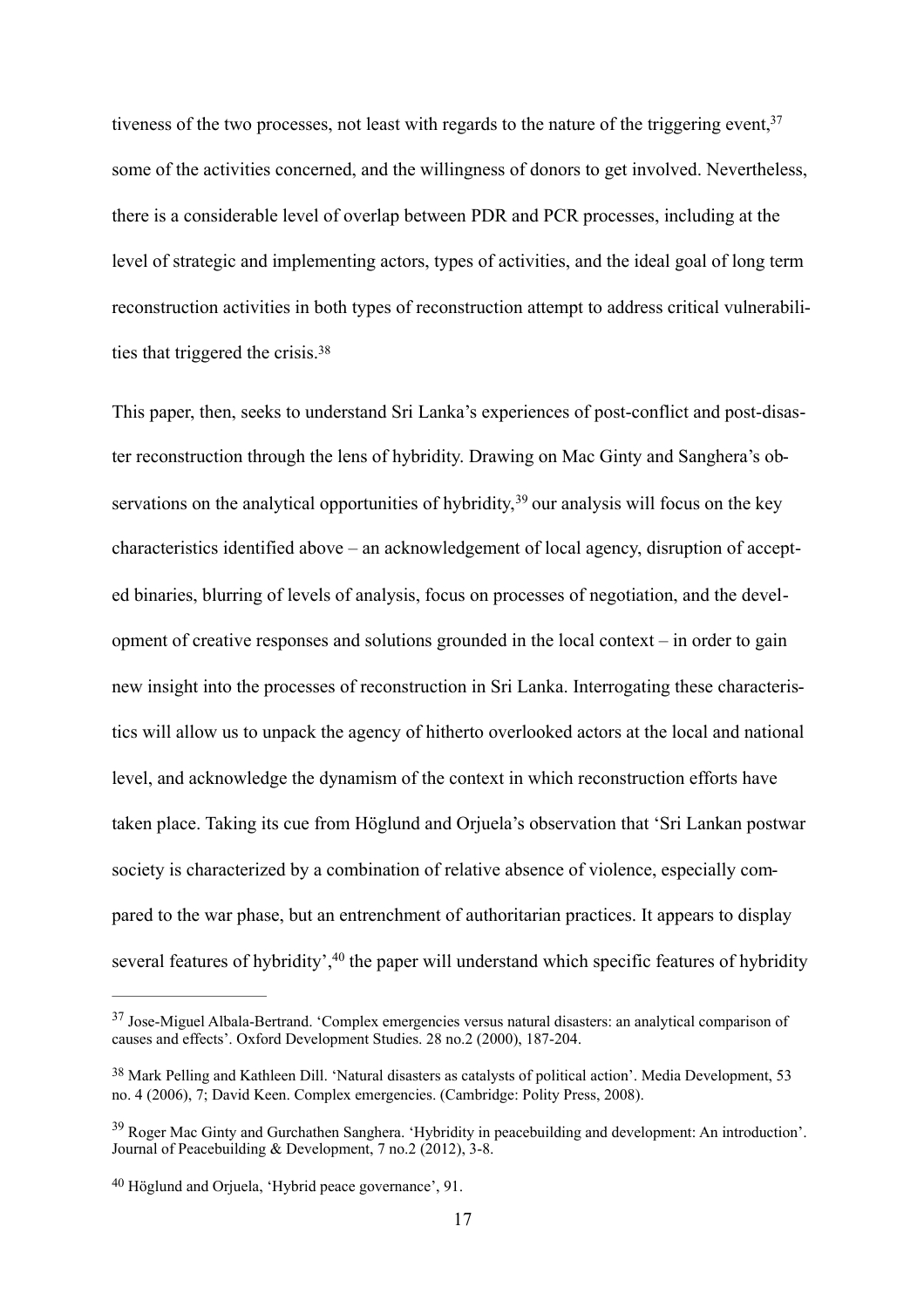<span id="page-17-4"></span> ties that triggered the crisis.[38](#page-17-1) tiveness of the two processes, not least with regards to the nature of the triggering event,  $37$ some of the activities concerned, and the willingness of donors to get involved. Nevertheless, there is a considerable level of overlap between PDR and PCR processes, including at the level of strategic and implementing actors, types of activities, and the ideal goal of long term reconstruction activities in both types of reconstruction attempt to address critical vulnerabili-

<span id="page-17-6"></span><span id="page-17-5"></span>This paper, then, seeks to understand Sri Lanka's experiences of post-conflict and post-disaster reconstruction through the lens of hybridity. Drawing on Mac Ginty and Sanghera's observations on the analytical opportunities of hybridity,  $39$  our analysis will focus on the key characteristics identified above – an acknowledgement of local agency, disruption of accepted binaries, blurring of levels of analysis, focus on processes of negotiation, and the development of creative responses and solutions grounded in the local context – in order to gain new insight into the processes of reconstruction in Sri Lanka. Interrogating these characteristics will allow us to unpack the agency of hitherto overlooked actors at the local and national level, and acknowledge the dynamism of the context in which reconstruction efforts have taken place. Taking its cue from Höglund and Orjuela's observation that 'Sri Lankan postwar society is characterized by a combination of relative absence of violence, especially compared to the war phase, but an entrenchment of authoritarian practices. It appears to display several features of hybridity', <sup>40</sup> the paper will understand which specific features of hybridity

<span id="page-17-7"></span><span id="page-17-0"></span><sup>&</sup>lt;sup>[37](#page-17-4)</sup> Jose-Miguel Albala-Bertrand. 'Complex emergencies versus natural disasters: an analytical comparison of causes and effects'. Oxford Development Studies. 28 no.2 (2000), 187-204.

<span id="page-17-1"></span>[<sup>38</sup>](#page-17-5) Mark Pelling and Kathleen Dill. 'Natural disasters as catalysts of political action'. Media Development, 53 no. 4 (2006), 7; David Keen. Complex emergencies. (Cambridge: Polity Press, 2008).

<span id="page-17-2"></span>[<sup>39</sup>](#page-17-6) Roger Mac Ginty and Gurchathen Sanghera. 'Hybridity in peacebuilding and development: An introduction'. Journal of Peacebuilding & Development, 7 no.2 (2012), 3-8.

<span id="page-17-3"></span>[<sup>40</sup>](#page-17-7) Höglund and Orjuela, 'Hybrid peace governance', 91.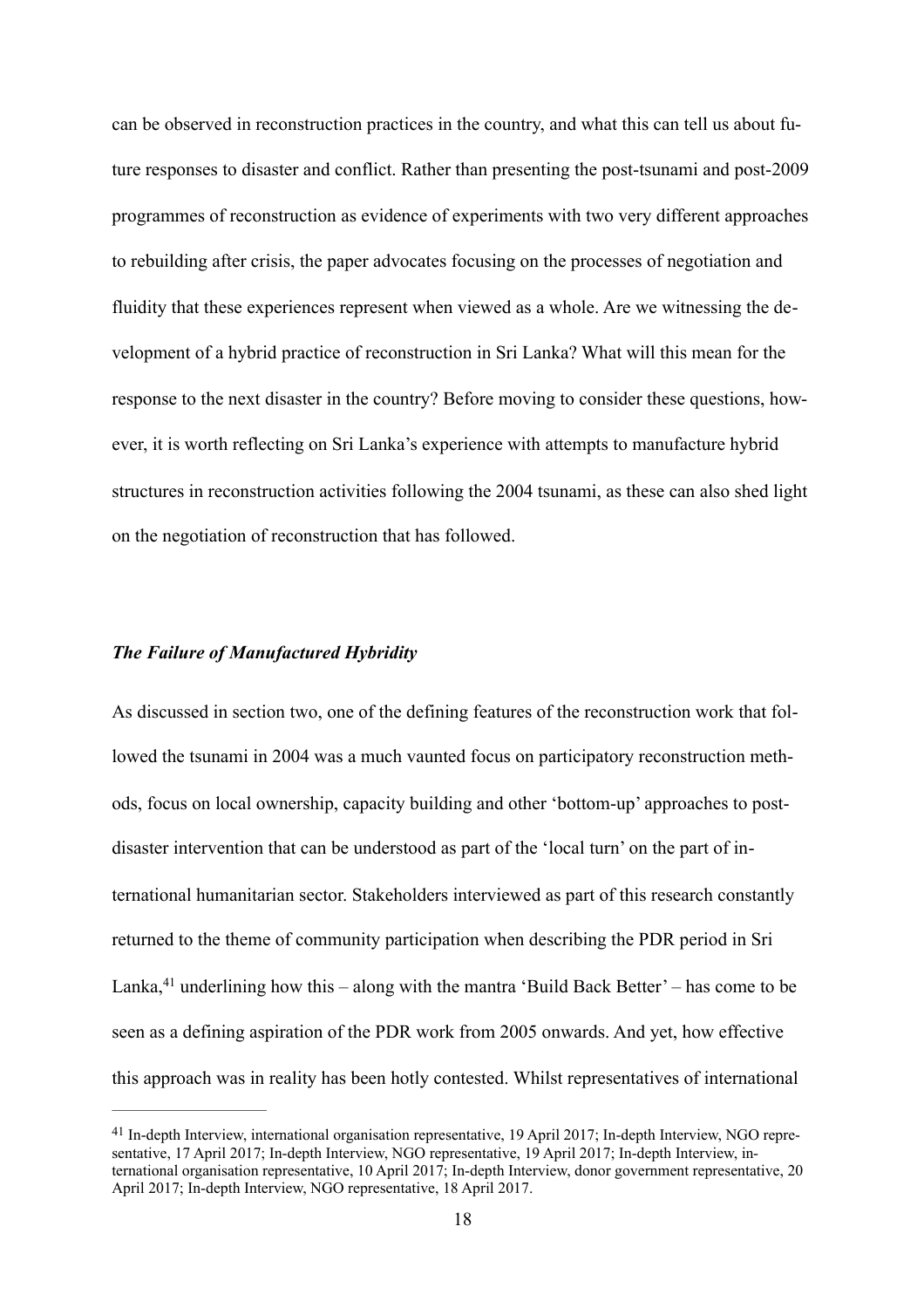can be observed in reconstruction practices in the country, and what this can tell us about future responses to disaster and conflict. Rather than presenting the post-tsunami and post-2009 programmes of reconstruction as evidence of experiments with two very different approaches to rebuilding after crisis, the paper advocates focusing on the processes of negotiation and fluidity that these experiences represent when viewed as a whole. Are we witnessing the development of a hybrid practice of reconstruction in Sri Lanka? What will this mean for the response to the next disaster in the country? Before moving to consider these questions, however, it is worth reflecting on Sri Lanka's experience with attempts to manufacture hybrid structures in reconstruction activities following the 2004 tsunami, as these can also shed light on the negotiation of reconstruction that has followed.

#### *The Failure of Manufactured Hybridity*

As discussed in section two, one of the defining features of the reconstruction work that followed the tsunami in 2004 was a much vaunted focus on participatory reconstruction methods, focus on local ownership, capacity building and other 'bottom-up' approaches to postdisaster intervention that can be understood as part of the 'local turn' on the part of international humanitarian sector. Stakeholders interviewed as part of this research constantly returned to the theme of community participation when describing the PDR period in Sri Lanka, $41$  underlining how this – along with the mantra 'Build Back Better' – has come to be seen as a defining aspiration of the PDR work from 2005 onwards. And yet, how effective this approach was in reality has been hotly contested. Whilst representatives of international

<span id="page-18-1"></span><span id="page-18-0"></span>[<sup>41</sup>](#page-18-1) In-depth Interview, international organisation representative, 19 April 2017; In-depth Interview, NGO representative, 17 April 2017; In-depth Interview, NGO representative, 19 April 2017; In-depth Interview, international organisation representative, 10 April 2017; In-depth Interview, donor government representative, 20 April 2017; In-depth Interview, NGO representative, 18 April 2017.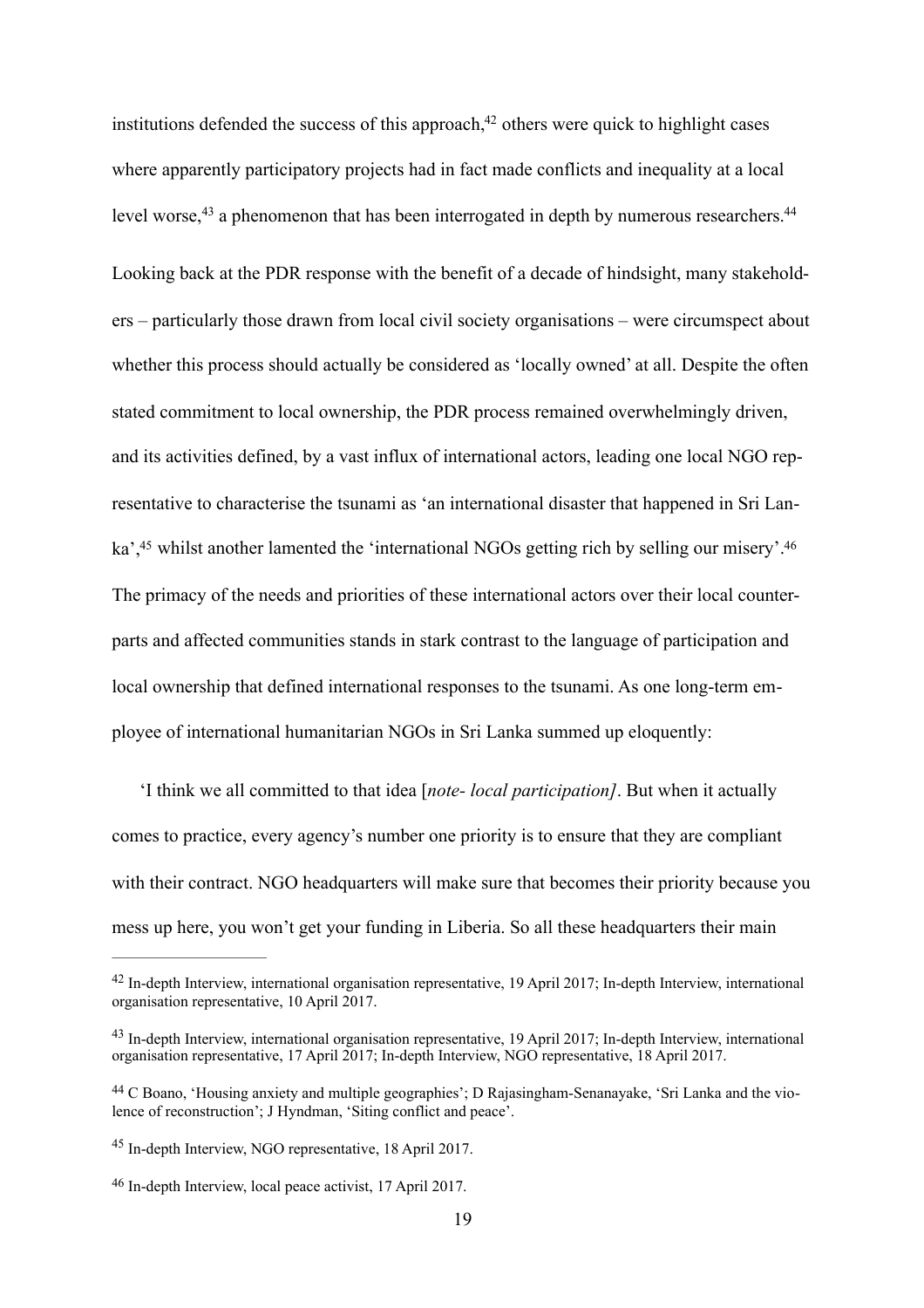<span id="page-19-7"></span><span id="page-19-6"></span><span id="page-19-5"></span>level worse,<sup>43</sup> a phenomenon that has been interrogated in depth by numerous researchers.<sup>44</sup> institutions defended the success of this approach, $42$  others were quick to highlight cases where apparently participatory projects had in fact made conflicts and inequality at a local Looking back at the PDR response with the benefit of a decade of hindsight, many stakeholders – particularly those drawn from local civil society organisations – were circumspect about whether this process should actually be considered as 'locally owned' at all. Despite the often stated commitment to local ownership, the PDR process remained overwhelmingly driven, and its activities defined, by a vast influx of international actors, leading one local NGO representative to characterise the tsunami as 'an international disaster that happened in Sri Lanka',<sup>45</sup> whilst another lamented the 'international NGOs getting rich by selling our misery'.<sup>46</sup> The primacy of the needs and priorities of these international actors over their local counterparts and affected communities stands in stark contrast to the language of participation and local ownership that defined international responses to the tsunami. As one long-term employee of international humanitarian NGOs in Sri Lanka summed up eloquently:

<span id="page-19-9"></span><span id="page-19-8"></span>'I think we all committed to that idea [*note- local participation]*. But when it actually comes to practice, every agency's number one priority is to ensure that they are compliant with their contract. NGO headquarters will make sure that becomes their priority because you mess up here, you won't get your funding in Liberia. So all these headquarters their main

<span id="page-19-0"></span>[<sup>42</sup>](#page-19-5) In-depth Interview, international organisation representative, 19 April 2017; In-depth Interview, international organisation representative, 10 April 2017.

<span id="page-19-1"></span>[<sup>43</sup>](#page-19-6) In-depth Interview, international organisation representative, 19 April 2017; In-depth Interview, international organisation representative, 17 April 2017; In-depth Interview, NGO representative, 18 April 2017.

<span id="page-19-2"></span>[<sup>44</sup>](#page-19-7) C Boano, 'Housing anxiety and multiple geographies'; D Rajasingham-Senanayake, 'Sri Lanka and the violence of reconstruction'; J Hyndman, 'Siting conflict and peace'.

<span id="page-19-3"></span>[<sup>45</sup>](#page-19-8) In-depth Interview, NGO representative, 18 April 2017.

<span id="page-19-4"></span>[<sup>46</sup>](#page-19-9) In-depth Interview, local peace activist, 17 April 2017.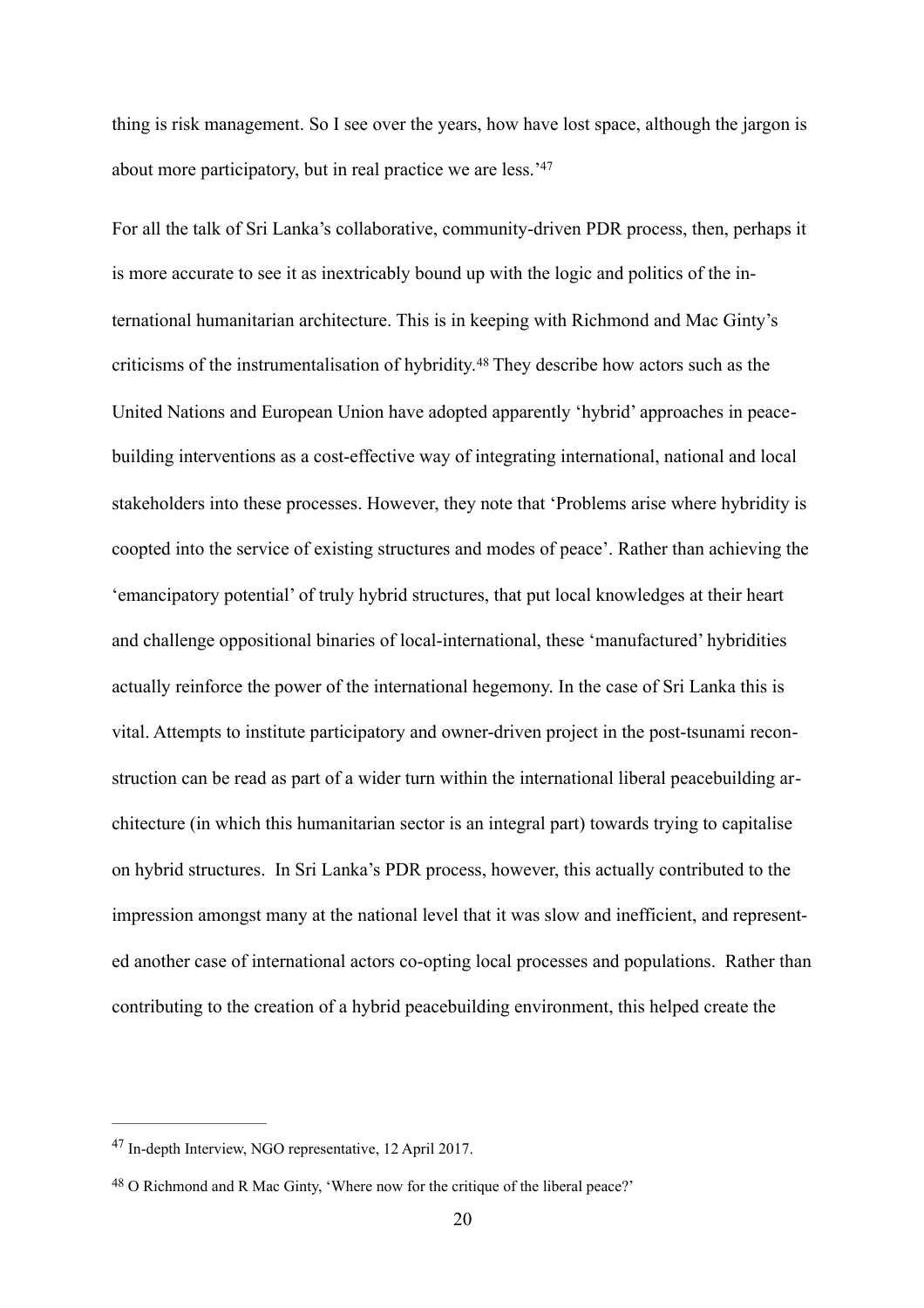thing is risk management. So I see over the years, how have lost space, although the jargon is about more participatory, but in real practice we are less.['47](#page-20-0)

<span id="page-20-3"></span><span id="page-20-2"></span>For all the talk of Sri Lanka's collaborative, community-driven PDR process, then, perhaps it is more accurate to see it as inextricably bound up with the logic and politics of the international humanitarian architecture. This is in keeping with Richmond and Mac Ginty's criticisms of the instrumentalisation of hybridity.[48](#page-20-1) They describe how actors such as the United Nations and European Union have adopted apparently 'hybrid' approaches in peacebuilding interventions as a cost-effective way of integrating international, national and local stakeholders into these processes. However, they note that 'Problems arise where hybridity is coopted into the service of existing structures and modes of peace'. Rather than achieving the 'emancipatory potential' of truly hybrid structures, that put local knowledges at their heart and challenge oppositional binaries of local-international, these 'manufactured' hybridities actually reinforce the power of the international hegemony. In the case of Sri Lanka this is vital. Attempts to institute participatory and owner-driven project in the post-tsunami reconstruction can be read as part of a wider turn within the international liberal peacebuilding architecture (in which this humanitarian sector is an integral part) towards trying to capitalise on hybrid structures. In Sri Lanka's PDR process, however, this actually contributed to the impression amongst many at the national level that it was slow and inefficient, and represented another case of international actors co-opting local processes and populations. Rather than contributing to the creation of a hybrid peacebuilding environment, this helped create the

<span id="page-20-0"></span>[<sup>47</sup>](#page-20-2) In-depth Interview, NGO representative, 12 April 2017.

<span id="page-20-1"></span>[<sup>48</sup>](#page-20-3) O Richmond and R Mac Ginty, 'Where now for the critique of the liberal peace?'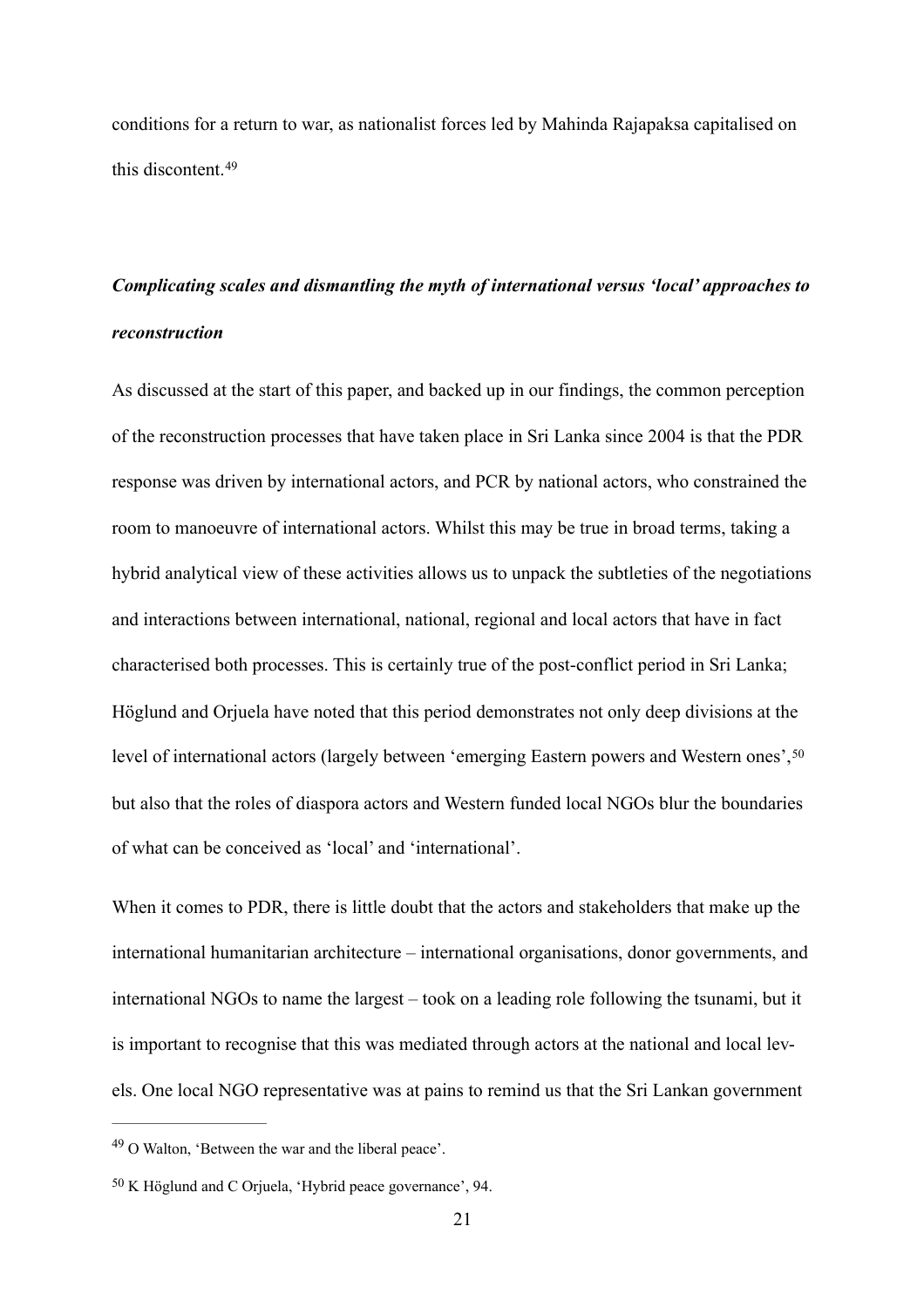<span id="page-21-2"></span> this discontent.[49](#page-21-0) conditions for a return to war, as nationalist forces led by Mahinda Rajapaksa capitalised on

# *Complicating scales and dismantling the myth of international versus 'local' approaches to reconstruction*

As discussed at the start of this paper, and backed up in our findings, the common perception of the reconstruction processes that have taken place in Sri Lanka since 2004 is that the PDR response was driven by international actors, and PCR by national actors, who constrained the room to manoeuvre of international actors. Whilst this may be true in broad terms, taking a hybrid analytical view of these activities allows us to unpack the subtleties of the negotiations and interactions between international, national, regional and local actors that have in fact characterised both processes. This is certainly true of the post-conflict period in Sri Lanka; Höglund and Orjuela have noted that this period demonstrates not only deep divisions at the level of international actors (largely between 'emerging Eastern powers and Western ones', [50](#page-21-1) but also that the roles of diaspora actors and Western funded local NGOs blur the boundaries of what can be conceived as 'local' and 'international'.

<span id="page-21-3"></span>When it comes to PDR, there is little doubt that the actors and stakeholders that make up the international humanitarian architecture – international organisations, donor governments, and international NGOs to name the largest – took on a leading role following the tsunami, but it is important to recognise that this was mediated through actors at the national and local levels. One local NGO representative was at pains to remind us that the Sri Lankan government

<span id="page-21-0"></span>[<sup>49</sup>](#page-21-2) O Walton, 'Between the war and the liberal peace'.

<span id="page-21-1"></span>[<sup>50</sup>](#page-21-3) K Höglund and C Orjuela, 'Hybrid peace governance', 94.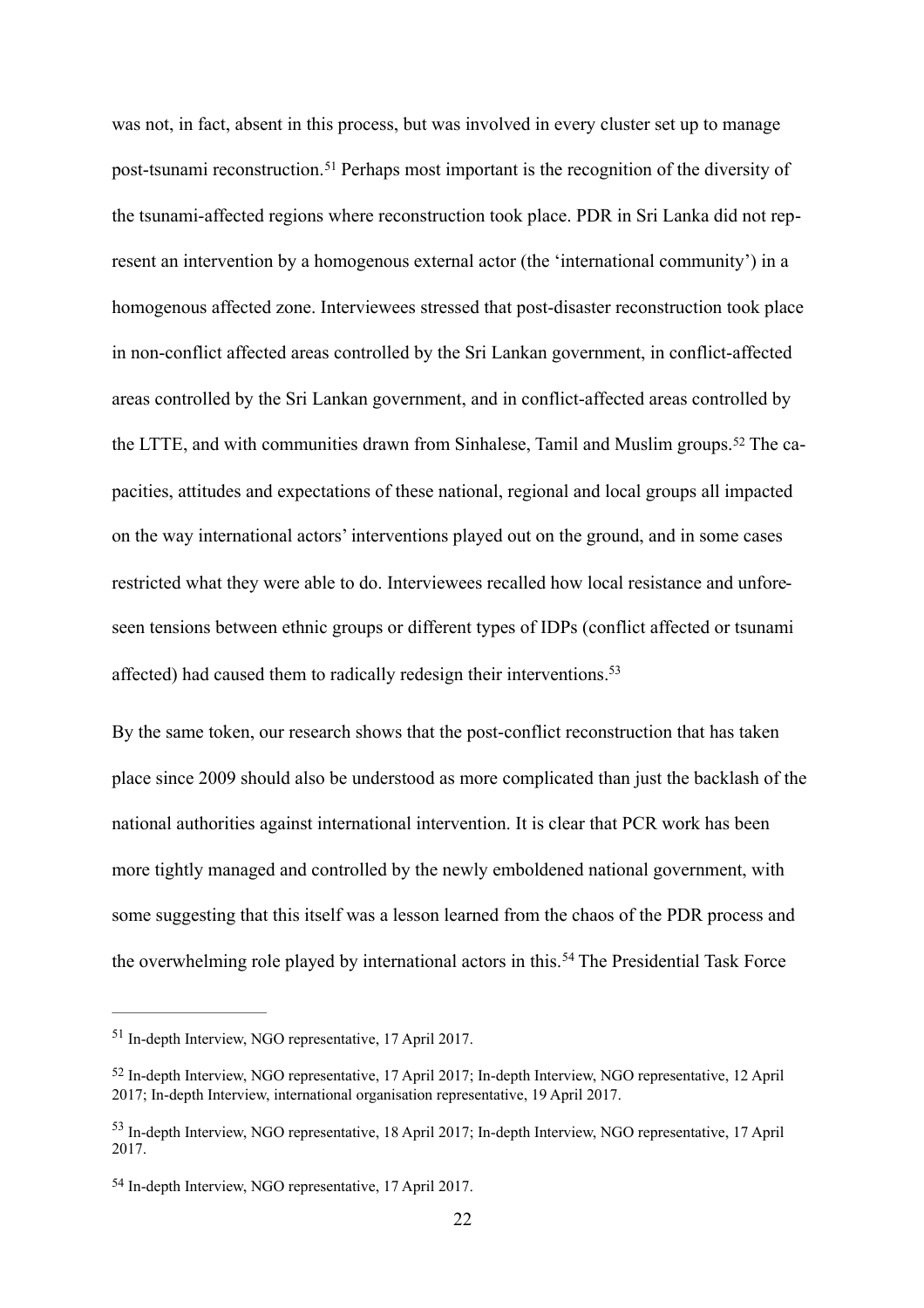<span id="page-22-4"></span>was not, in fact, absent in this process, but was involved in every cluster set up to manage post-tsunami reconstruction.[51](#page-22-0) Perhaps most important is the recognition of the diversity of the tsunami-affected regions where reconstruction took place. PDR in Sri Lanka did not represent an intervention by a homogenous external actor (the 'international community') in a homogenous affected zone. Interviewees stressed that post-disaster reconstruction took place in non-conflict affected areas controlled by the Sri Lankan government, in conflict-affected areas controlled by the Sri Lankan government, and in conflict-affected areas controlled by the LTTE, and with communities drawn from Sinhalese, Tamil and Muslim groups.[52](#page-22-1) The capacities, attitudes and expectations of these national, regional and local groups all impacted on the way international actors' interventions played out on the ground, and in some cases restricted what they were able to do. Interviewees recalled how local resistance and unforeseen tensions between ethnic groups or different types of IDPs (conflict affected or tsunami affected) had caused them to radically redesign their interventions[.53](#page-22-2)

<span id="page-22-6"></span><span id="page-22-5"></span>the overwhelming role played by international actors in this.<sup>[54](#page-22-3)</sup> The Presidential Task Force By the same token, our research shows that the post-conflict reconstruction that has taken place since 2009 should also be understood as more complicated than just the backlash of the national authorities against international intervention. It is clear that PCR work has been more tightly managed and controlled by the newly emboldened national government, with some suggesting that this itself was a lesson learned from the chaos of the PDR process and

<span id="page-22-7"></span><span id="page-22-0"></span>[<sup>51</sup>](#page-22-4) In-depth Interview, NGO representative, 17 April 2017.

<span id="page-22-1"></span>[<sup>52</sup>](#page-22-5) In-depth Interview, NGO representative, 17 April 2017; In-depth Interview, NGO representative, 12 April 2017; In-depth Interview, international organisation representative, 19 April 2017.

<span id="page-22-2"></span>[<sup>53</sup>](#page-22-6) In-depth Interview, NGO representative, 18 April 2017; In-depth Interview, NGO representative, 17 April 2017.

<span id="page-22-3"></span>[<sup>54</sup>](#page-22-7) In-depth Interview, NGO representative, 17 April 2017.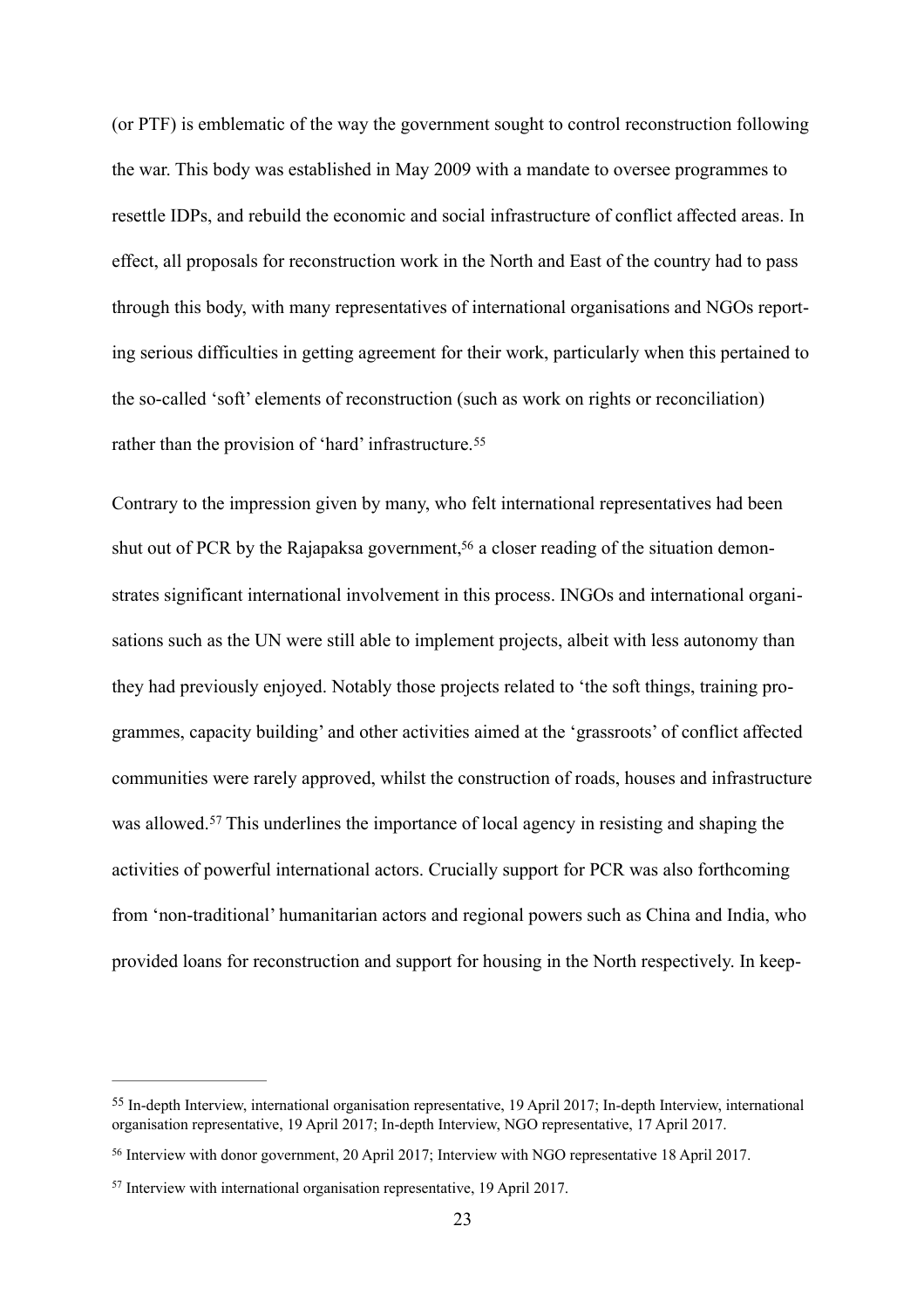rather than the provision of 'hard' infrastructure.<sup>[55](#page-23-0)</sup> (or PTF) is emblematic of the way the government sought to control reconstruction following the war. This body was established in May 2009 with a mandate to oversee programmes to resettle IDPs, and rebuild the economic and social infrastructure of conflict affected areas. In effect, all proposals for reconstruction work in the North and East of the country had to pass through this body, with many representatives of international organisations and NGOs reporting serious difficulties in getting agreement for their work, particularly when this pertained to the so-called 'soft' elements of reconstruction (such as work on rights or reconciliation)

<span id="page-23-4"></span><span id="page-23-3"></span>Contrary to the impression given by many, who felt international representatives had been shut out of PCR by the Rajapaksa government,<sup>56</sup> a closer reading of the situation demonstrates significant international involvement in this process. INGOs and international organisations such as the UN were still able to implement projects, albeit with less autonomy than they had previously enjoyed. Notably those projects related to 'the soft things, training programmes, capacity building' and other activities aimed at the 'grassroots' of conflict affected communities were rarely approved, whilst the construction of roads, houses and infrastructure was allowed.<sup>[57](#page-23-2)</sup> This underlines the importance of local agency in resisting and shaping the activities of powerful international actors. Crucially support for PCR was also forthcoming from 'non-traditional' humanitarian actors and regional powers such as China and India, who provided loans for reconstruction and support for housing in the North respectively. In keep-

<span id="page-23-5"></span><span id="page-23-0"></span>[<sup>55</sup>](#page-23-3) In-depth Interview, international organisation representative, 19 April 2017; In-depth Interview, international organisation representative, 19 April 2017; In-depth Interview, NGO representative, 17 April 2017.

<span id="page-23-1"></span>[<sup>56</sup>](#page-23-4) Interview with donor government, 20 April 2017; Interview with NGO representative 18 April 2017.

<span id="page-23-2"></span>[<sup>57</sup>](#page-23-5) Interview with international organisation representative, 19 April 2017.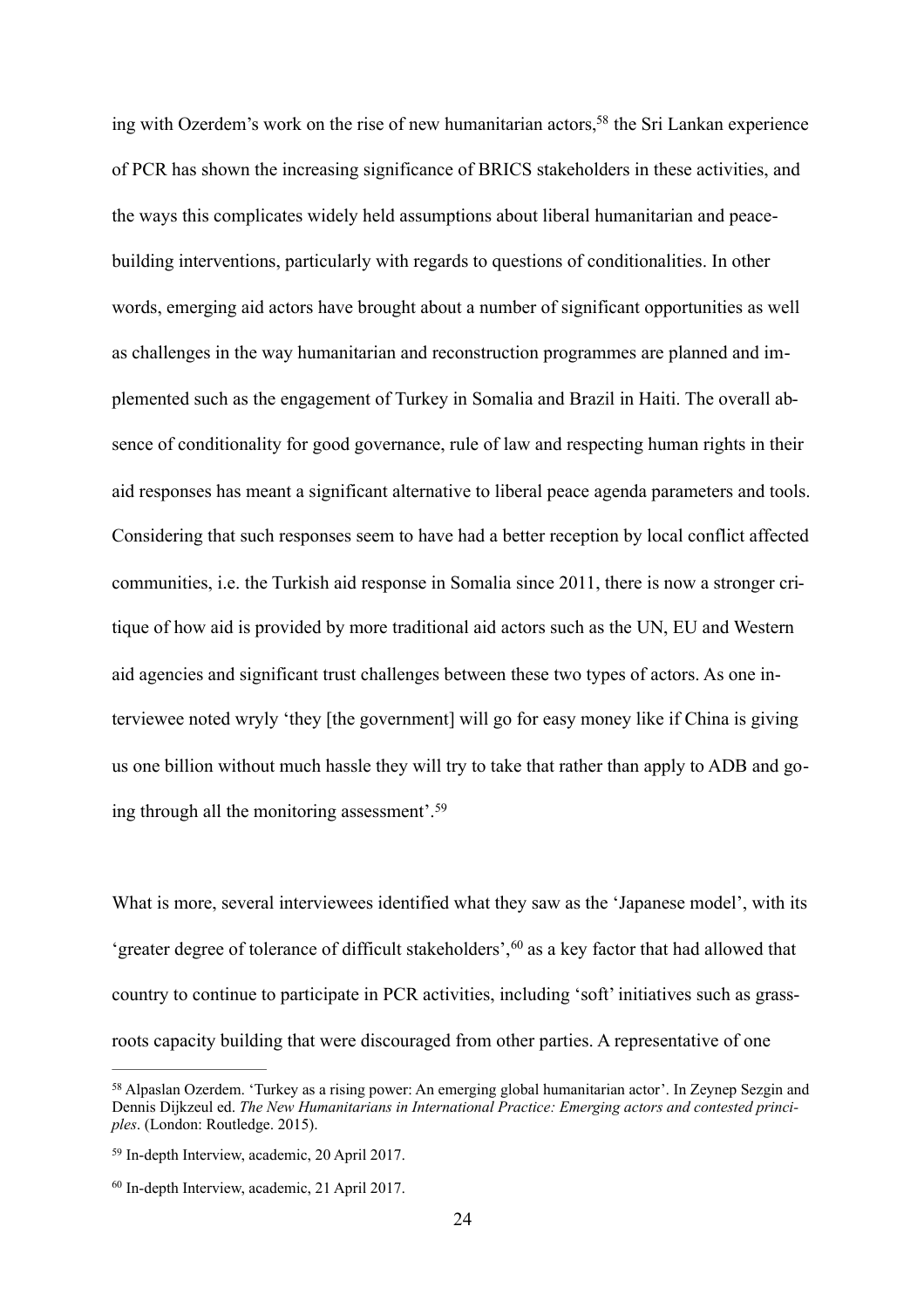<span id="page-24-3"></span> ing through all the monitoring assessment'[.59](#page-24-1) ing with Ozerdem's work on the rise of new humanitarian actors,<sup>58</sup> the Sri Lankan experience of PCR has shown the increasing significance of BRICS stakeholders in these activities, and the ways this complicates widely held assumptions about liberal humanitarian and peacebuilding interventions, particularly with regards to questions of conditionalities. In other words, emerging aid actors have brought about a number of significant opportunities as well as challenges in the way humanitarian and reconstruction programmes are planned and implemented such as the engagement of Turkey in Somalia and Brazil in Haiti. The overall absence of conditionality for good governance, rule of law and respecting human rights in their aid responses has meant a significant alternative to liberal peace agenda parameters and tools. Considering that such responses seem to have had a better reception by local conflict affected communities, i.e. the Turkish aid response in Somalia since 2011, there is now a stronger critique of how aid is provided by more traditional aid actors such as the UN, EU and Western aid agencies and significant trust challenges between these two types of actors. As one interviewee noted wryly 'they [the government] will go for easy money like if China is giving us one billion without much hassle they will try to take that rather than apply to ADB and go-

<span id="page-24-5"></span><span id="page-24-4"></span>What is more, several interviewees identified what they saw as the 'Japanese model', with its 'greater degree of tolerance of difficult stakeholders',[60](#page-24-2) as a key factor that had allowed that country to continue to participate in PCR activities, including 'soft' initiatives such as grassroots capacity building that were discouraged from other parties. A representative of one

<span id="page-24-0"></span>[<sup>58</sup>](#page-24-3) Alpaslan Ozerdem. 'Turkey as a rising power: An emerging global humanitarian actor'. In Zeynep Sezgin and Dennis Dijkzeul ed. *The New Humanitarians in International Practice: Emerging actors and contested principles*. (London: Routledge. 2015).

<span id="page-24-1"></span>[<sup>59</sup>](#page-24-4) In-depth Interview, academic, 20 April 2017.

<span id="page-24-2"></span>[<sup>60</sup>](#page-24-5) In-depth Interview, academic, 21 April 2017.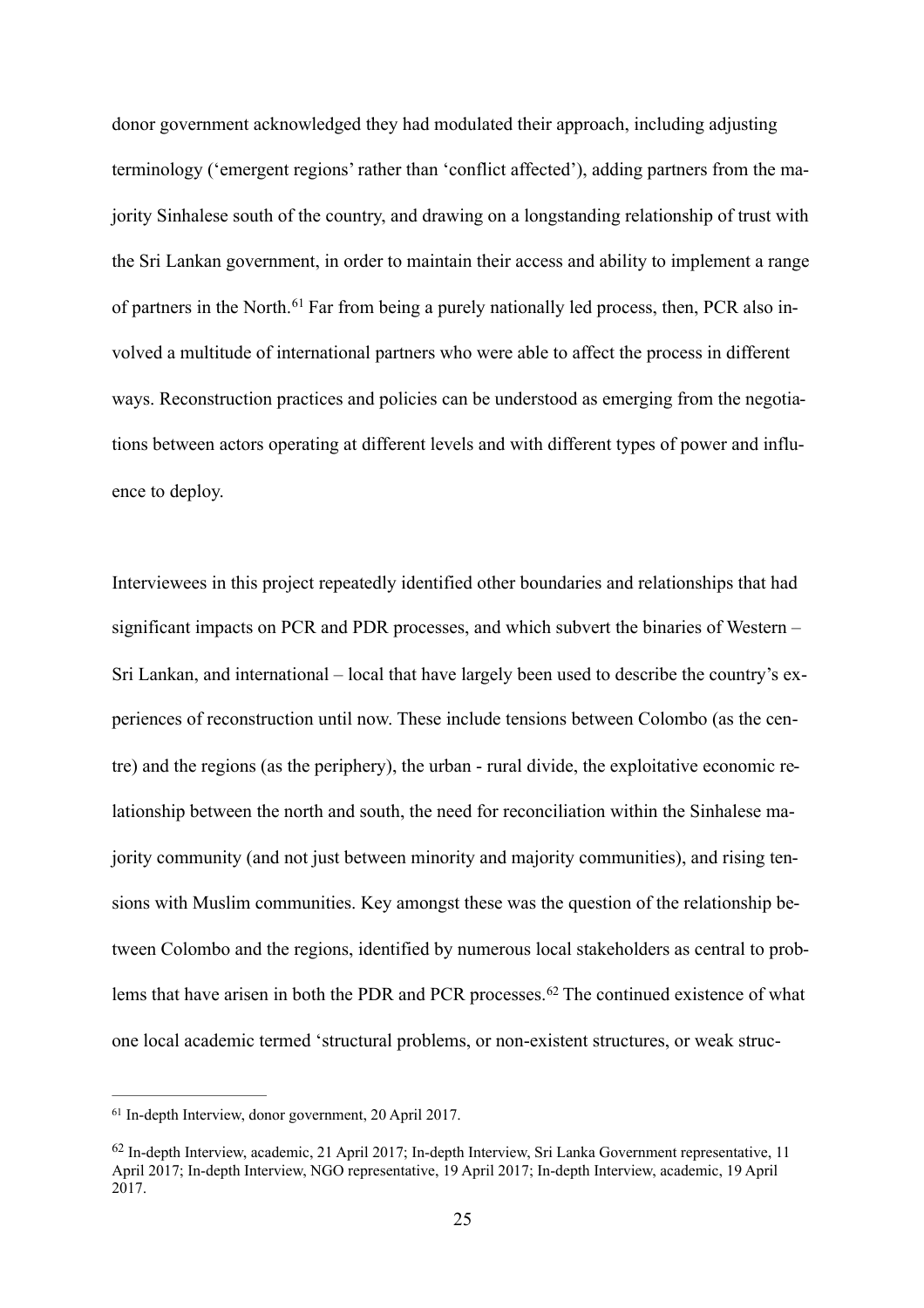<span id="page-25-2"></span>donor government acknowledged they had modulated their approach, including adjusting terminology ('emergent regions' rather than 'conflict affected'), adding partners from the majority Sinhalese south of the country, and drawing on a longstanding relationship of trust with the Sri Lankan government, in order to maintain their access and ability to implement a range of partners in the North.[61](#page-25-0) Far from being a purely nationally led process, then, PCR also involved a multitude of international partners who were able to affect the process in different ways. Reconstruction practices and policies can be understood as emerging from the negotiations between actors operating at different levels and with different types of power and influence to deploy.

Interviewees in this project repeatedly identified other boundaries and relationships that had significant impacts on PCR and PDR processes, and which subvert the binaries of Western – Sri Lankan, and international – local that have largely been used to describe the country's experiences of reconstruction until now. These include tensions between Colombo (as the centre) and the regions (as the periphery), the urban - rural divide, the exploitative economic relationship between the north and south, the need for reconciliation within the Sinhalese majority community (and not just between minority and majority communities), and rising tensions with Muslim communities. Key amongst these was the question of the relationship between Colombo and the regions, identified by numerous local stakeholders as central to problems that have arisen in both the PDR and PCR processes.[62](#page-25-1) The continued existence of what one local academic termed 'structural problems, or non-existent structures, or weak struc-

<span id="page-25-3"></span><span id="page-25-0"></span>[<sup>61</sup>](#page-25-2) In-depth Interview, donor government, 20 April 2017.

<span id="page-25-1"></span>[<sup>62</sup>](#page-25-3) In-depth Interview, academic, 21 April 2017; In-depth Interview, Sri Lanka Government representative, 11 April 2017; In-depth Interview, NGO representative, 19 April 2017; In-depth Interview, academic, 19 April 2017.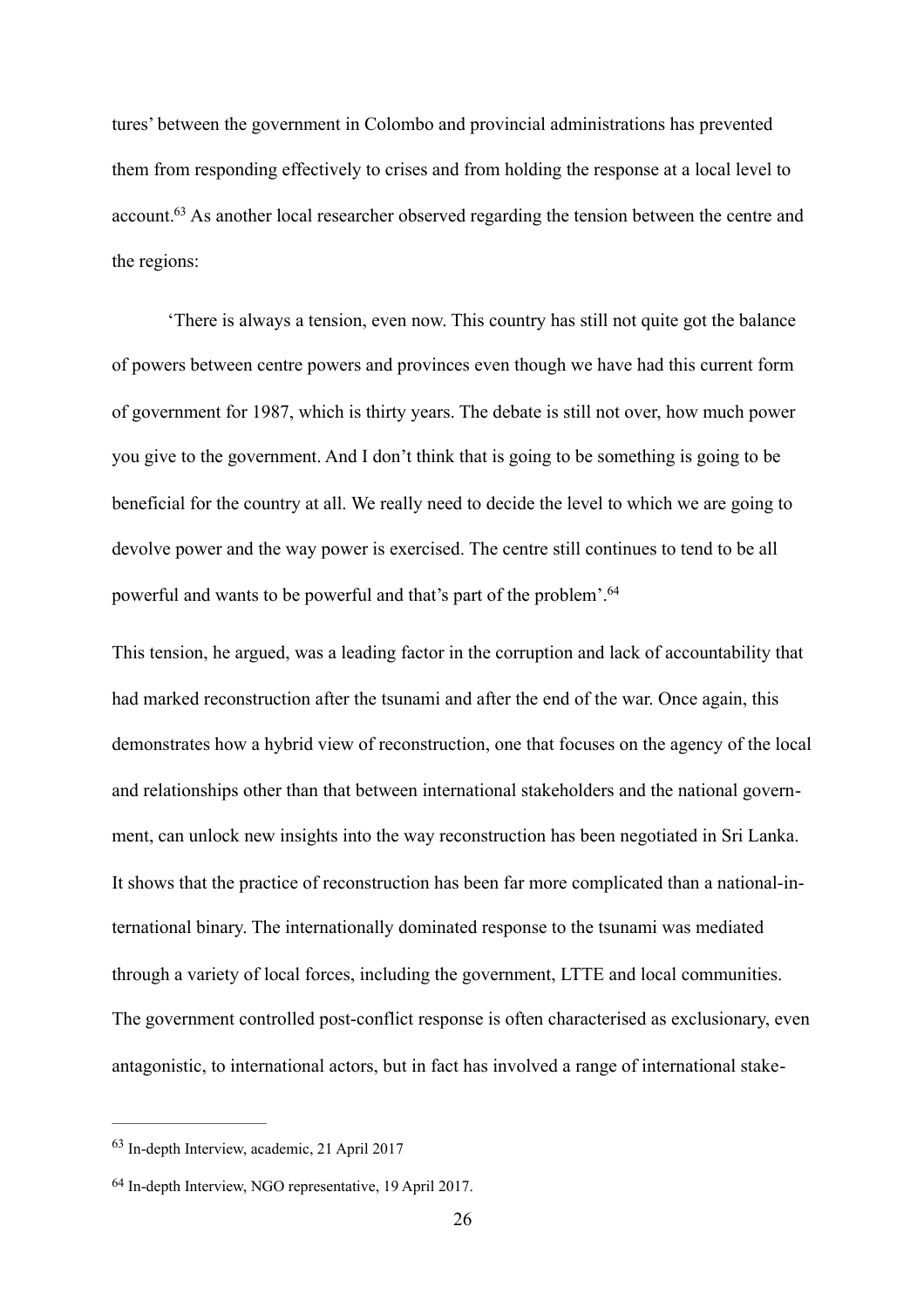tures' between the government in Colombo and provincial administrations has prevented them from responding effectively to crises and from holding the response at a local level to account[.63](#page-26-0) As another local researcher observed regarding the tension between the centre and the regions:

<span id="page-26-2"></span>'There is always a tension, even now. This country has still not quite got the balance of powers between centre powers and provinces even though we have had this current form of government for 1987, which is thirty years. The debate is still not over, how much power you give to the government. And I don't think that is going to be something is going to be beneficial for the country at all. We really need to decide the level to which we are going to devolve power and the way power is exercised. The centre still continues to tend to be all powerful and wants to be powerful and that's part of the problem'[.64](#page-26-1)

<span id="page-26-3"></span>This tension, he argued, was a leading factor in the corruption and lack of accountability that had marked reconstruction after the tsunami and after the end of the war. Once again, this demonstrates how a hybrid view of reconstruction, one that focuses on the agency of the local and relationships other than that between international stakeholders and the national government, can unlock new insights into the way reconstruction has been negotiated in Sri Lanka. It shows that the practice of reconstruction has been far more complicated than a national-international binary. The internationally dominated response to the tsunami was mediated through a variety of local forces, including the government, LTTE and local communities. The government controlled post-conflict response is often characterised as exclusionary, even antagonistic, to international actors, but in fact has involved a range of international stake-

<span id="page-26-0"></span>[<sup>63</sup>](#page-26-2) In-depth Interview, academic, 21 April 2017

<span id="page-26-1"></span>[<sup>64</sup>](#page-26-3) In-depth Interview, NGO representative, 19 April 2017.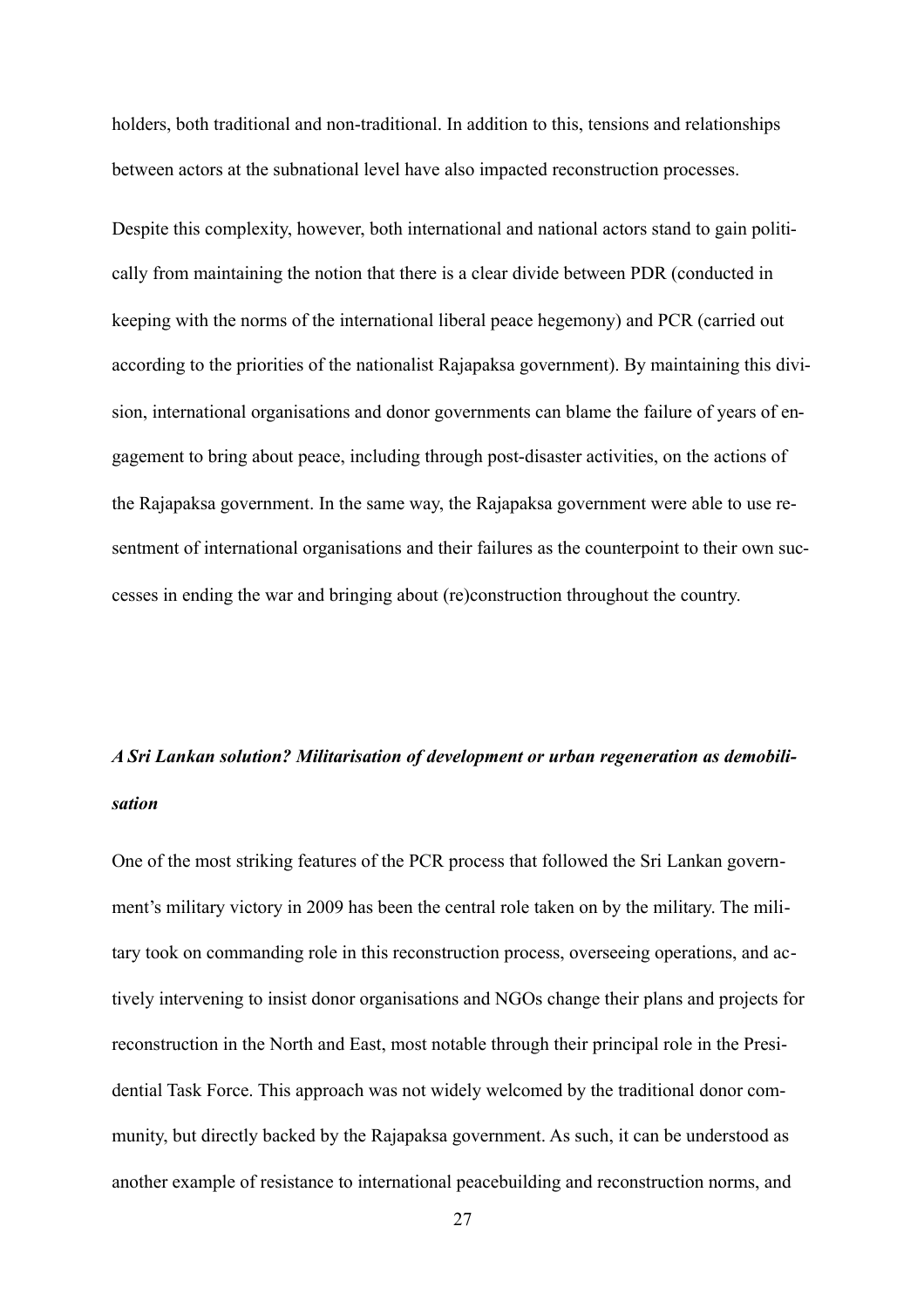holders, both traditional and non-traditional. In addition to this, tensions and relationships between actors at the subnational level have also impacted reconstruction processes.

Despite this complexity, however, both international and national actors stand to gain politically from maintaining the notion that there is a clear divide between PDR (conducted in keeping with the norms of the international liberal peace hegemony) and PCR (carried out according to the priorities of the nationalist Rajapaksa government). By maintaining this division, international organisations and donor governments can blame the failure of years of engagement to bring about peace, including through post-disaster activities, on the actions of the Rajapaksa government. In the same way, the Rajapaksa government were able to use resentment of international organisations and their failures as the counterpoint to their own successes in ending the war and bringing about (re)construction throughout the country.

# *A Sri Lankan solution? Militarisation of development or urban regeneration as demobilisation*

One of the most striking features of the PCR process that followed the Sri Lankan government's military victory in 2009 has been the central role taken on by the military. The military took on commanding role in this reconstruction process, overseeing operations, and actively intervening to insist donor organisations and NGOs change their plans and projects for reconstruction in the North and East, most notable through their principal role in the Presidential Task Force. This approach was not widely welcomed by the traditional donor community, but directly backed by the Rajapaksa government. As such, it can be understood as another example of resistance to international peacebuilding and reconstruction norms, and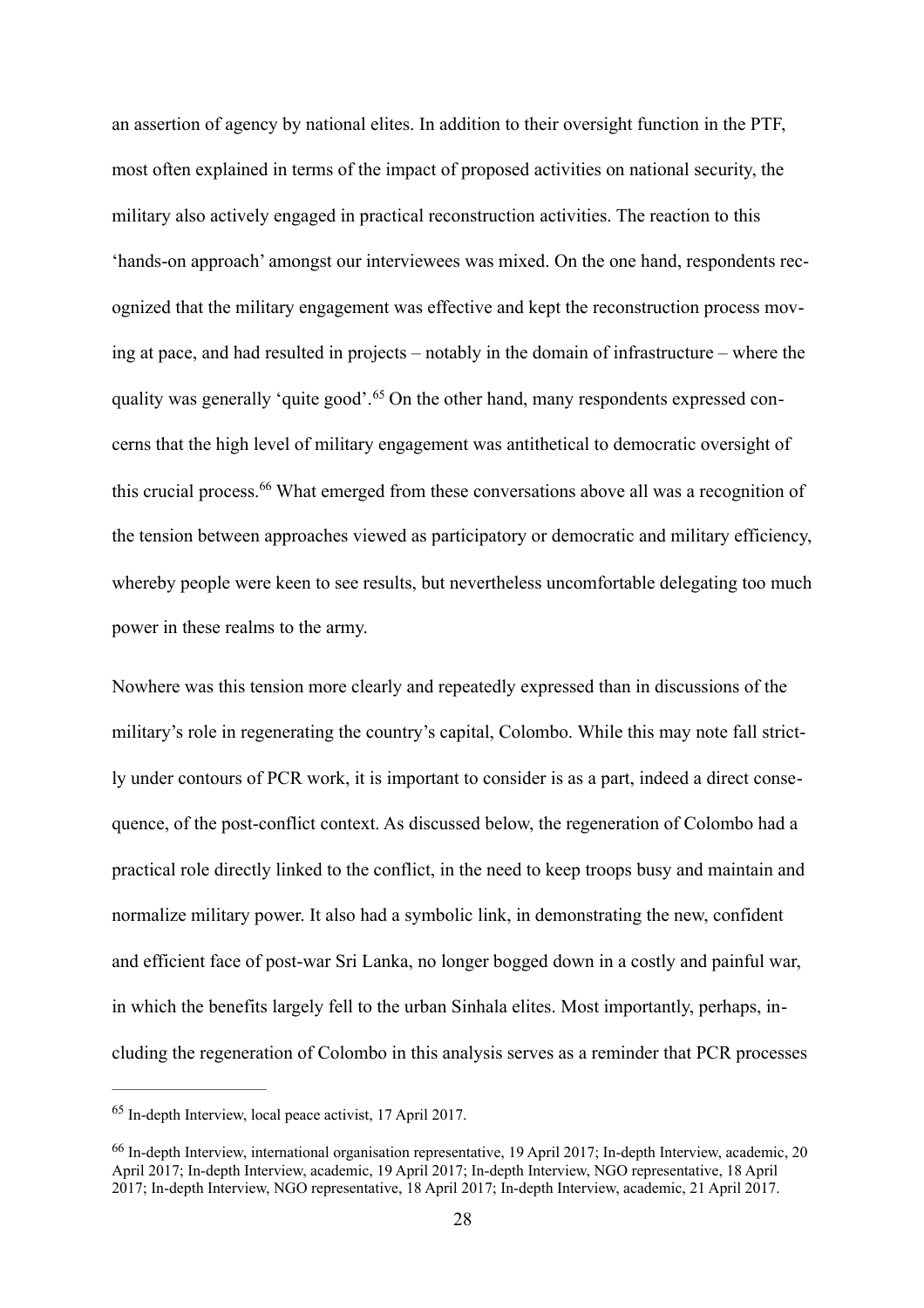an assertion of agency by national elites. In addition to their oversight function in the PTF, most often explained in terms of the impact of proposed activities on national security, the military also actively engaged in practical reconstruction activities. The reaction to this 'hands-on approach' amongst our interviewees was mixed. On the one hand, respondents recognized that the military engagement was effective and kept the reconstruction process moving at pace, and had resulted in projects – notably in the domain of infrastructure – where the quality was generally 'quite good'.[65](#page-28-0) On the other hand, many respondents expressed concerns that the high level of military engagement was antithetical to democratic oversight of this crucial process.[66](#page-28-1) What emerged from these conversations above all was a recognition of the tension between approaches viewed as participatory or democratic and military efficiency, whereby people were keen to see results, but nevertheless uncomfortable delegating too much power in these realms to the army.

<span id="page-28-3"></span><span id="page-28-2"></span>Nowhere was this tension more clearly and repeatedly expressed than in discussions of the military's role in regenerating the country's capital, Colombo. While this may note fall strictly under contours of PCR work, it is important to consider is as a part, indeed a direct consequence, of the post-conflict context. As discussed below, the regeneration of Colombo had a practical role directly linked to the conflict, in the need to keep troops busy and maintain and normalize military power. It also had a symbolic link, in demonstrating the new, confident and efficient face of post-war Sri Lanka, no longer bogged down in a costly and painful war, in which the benefits largely fell to the urban Sinhala elites. Most importantly, perhaps, including the regeneration of Colombo in this analysis serves as a reminder that PCR processes

<span id="page-28-0"></span>[<sup>65</sup>](#page-28-2) In-depth Interview, local peace activist, 17 April 2017.

<span id="page-28-1"></span>[<sup>66</sup>](#page-28-3) In-depth Interview, international organisation representative, 19 April 2017; In-depth Interview, academic, 20 April 2017; In-depth Interview, academic, 19 April 2017; In-depth Interview, NGO representative, 18 April 2017; In-depth Interview, NGO representative, 18 April 2017; In-depth Interview, academic, 21 April 2017.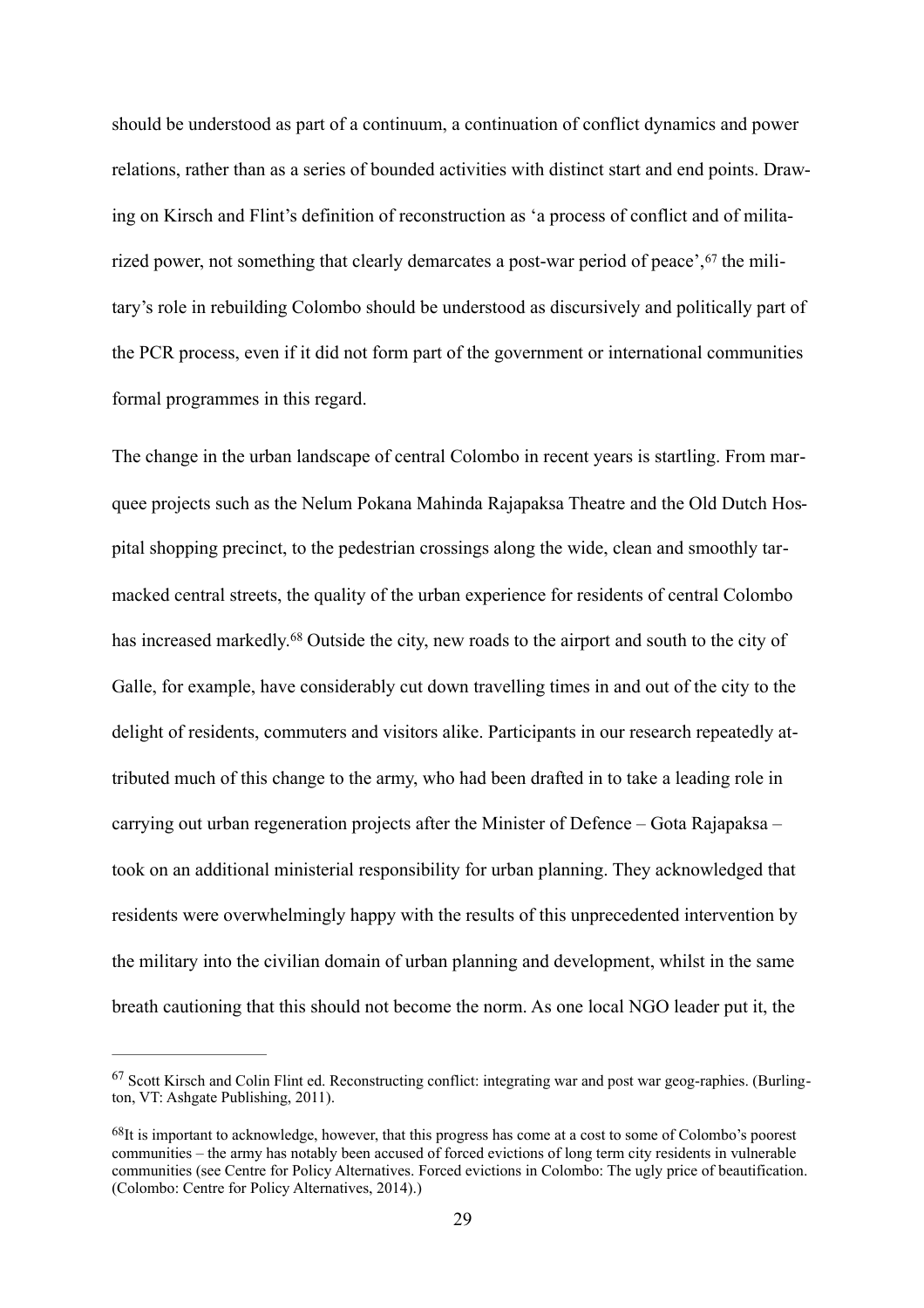<span id="page-29-2"></span>should be understood as part of a continuum, a continuation of conflict dynamics and power relations, rather than as a series of bounded activities with distinct start and end points. Drawing on Kirsch and Flint's definition of reconstruction as 'a process of conflict and of militarized power, not something that clearly demarcates a post-war period of peace', <sup>67</sup> the military's role in rebuilding Colombo should be understood as discursively and politically part of the PCR process, even if it did not form part of the government or international communities formal programmes in this regard.

<span id="page-29-3"></span>The change in the urban landscape of central Colombo in recent years is startling. From marquee projects such as the Nelum Pokana Mahinda Rajapaksa Theatre and the Old Dutch Hospital shopping precinct, to the pedestrian crossings along the wide, clean and smoothly tarmacked central streets, the quality of the urban experience for residents of central Colombo has increased markedly.<sup>68</sup> Outside the city, new roads to the airport and south to the city of Galle, for example, have considerably cut down travelling times in and out of the city to the delight of residents, commuters and visitors alike. Participants in our research repeatedly attributed much of this change to the army, who had been drafted in to take a leading role in carrying out urban regeneration projects after the Minister of Defence – Gota Rajapaksa – took on an additional ministerial responsibility for urban planning. They acknowledged that residents were overwhelmingly happy with the results of this unprecedented intervention by the military into the civilian domain of urban planning and development, whilst in the same breath cautioning that this should not become the norm. As one local NGO leader put it, the

<span id="page-29-0"></span>[<sup>67</sup>](#page-29-2) Scott Kirsch and Colin Flint ed. Reconstructing conflict: integrating war and post war geog-raphies. (Burlington, VT: Ashgate Publishing, 2011).

<span id="page-29-1"></span>[<sup>68</sup>](#page-29-3)It is important to acknowledge, however, that this progress has come at a cost to some of Colombo's poorest communities – the army has notably been accused of forced evictions of long term city residents in vulnerable communities (see Centre for Policy Alternatives. Forced evictions in Colombo: The ugly price of beautification. (Colombo: Centre for Policy Alternatives, 2014).)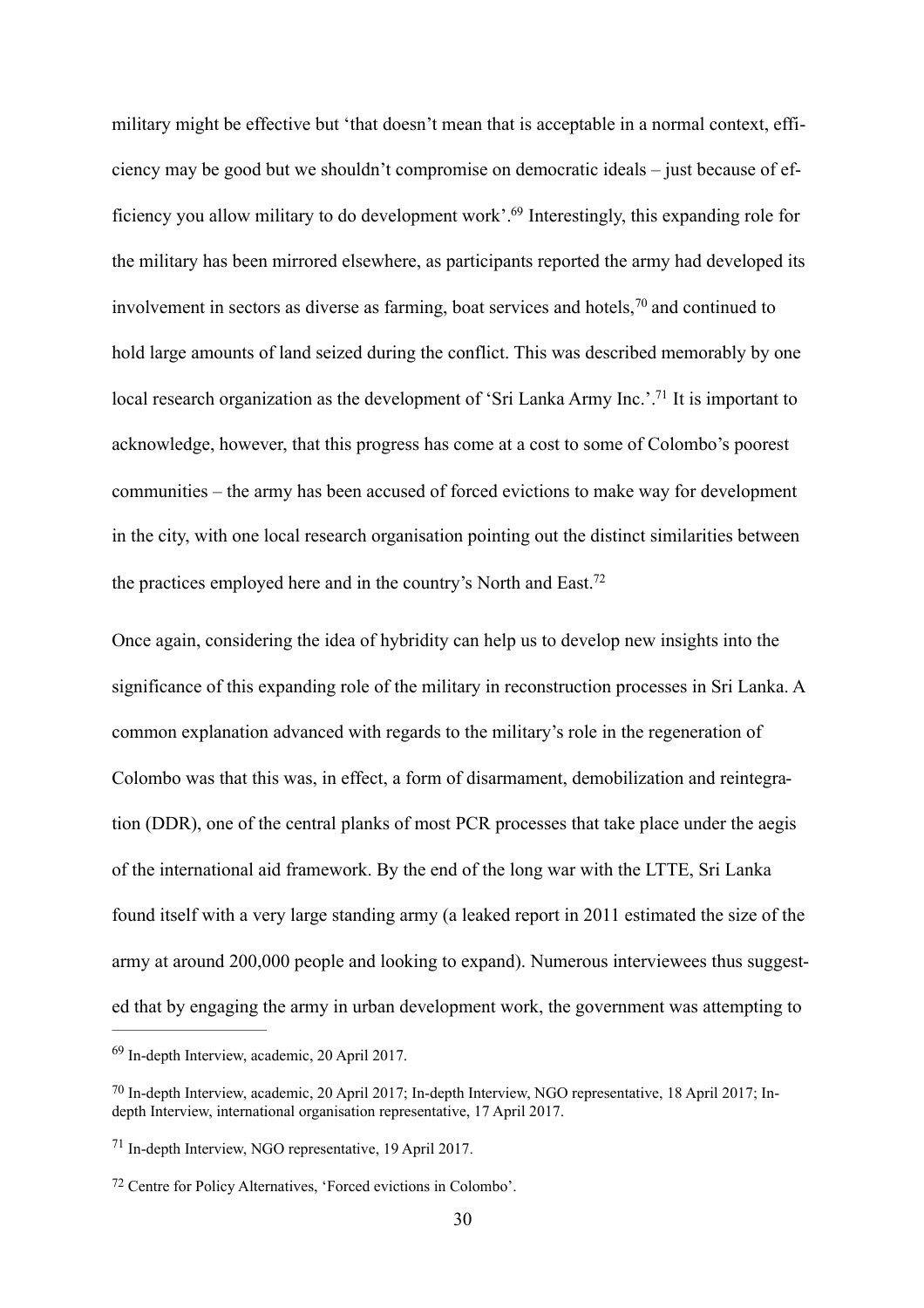<span id="page-30-5"></span><span id="page-30-4"></span>military might be effective but 'that doesn't mean that is acceptable in a normal context, efficiency may be good but we shouldn't compromise on democratic ideals – just because of efficiency you allow military to do development work'[.69](#page-30-0) Interestingly, this expanding role for the military has been mirrored elsewhere, as participants reported the army had developed its involvement in sectors as diverse as farming, boat services and hotels,  $70$  and continued to hold large amounts of land seized during the conflict. This was described memorably by one local research organization as the development of 'Sri Lanka Army Inc.'<sup>71</sup> It is important to acknowledge, however, that this progress has come at a cost to some of Colombo's poorest communities – the army has been accused of forced evictions to make way for development in the city, with one local research organisation pointing out the distinct similarities between the practices employed here and in the country's North and East[.72](#page-30-3)

<span id="page-30-7"></span><span id="page-30-6"></span>Once again, considering the idea of hybridity can help us to develop new insights into the significance of this expanding role of the military in reconstruction processes in Sri Lanka. A common explanation advanced with regards to the military's role in the regeneration of Colombo was that this was, in effect, a form of disarmament, demobilization and reintegration (DDR), one of the central planks of most PCR processes that take place under the aegis of the international aid framework. By the end of the long war with the LTTE, Sri Lanka found itself with a very large standing army (a leaked report in 2011 estimated the size of the army at around 200,000 people and looking to expand). Numerous interviewees thus suggested that by engaging the army in urban development work, the government was attempting to

<span id="page-30-0"></span>[<sup>69</sup>](#page-30-4) In-depth Interview, academic, 20 April 2017.

<span id="page-30-1"></span>[<sup>70</sup>](#page-30-5) In-depth Interview, academic, 20 April 2017; In-depth Interview, NGO representative, 18 April 2017; Indepth Interview, international organisation representative, 17 April 2017.

<span id="page-30-2"></span>[<sup>71</sup>](#page-30-6) In-depth Interview, NGO representative, 19 April 2017.

<span id="page-30-3"></span>[<sup>72</sup>](#page-30-7) Centre for Policy Alternatives, 'Forced evictions in Colombo'.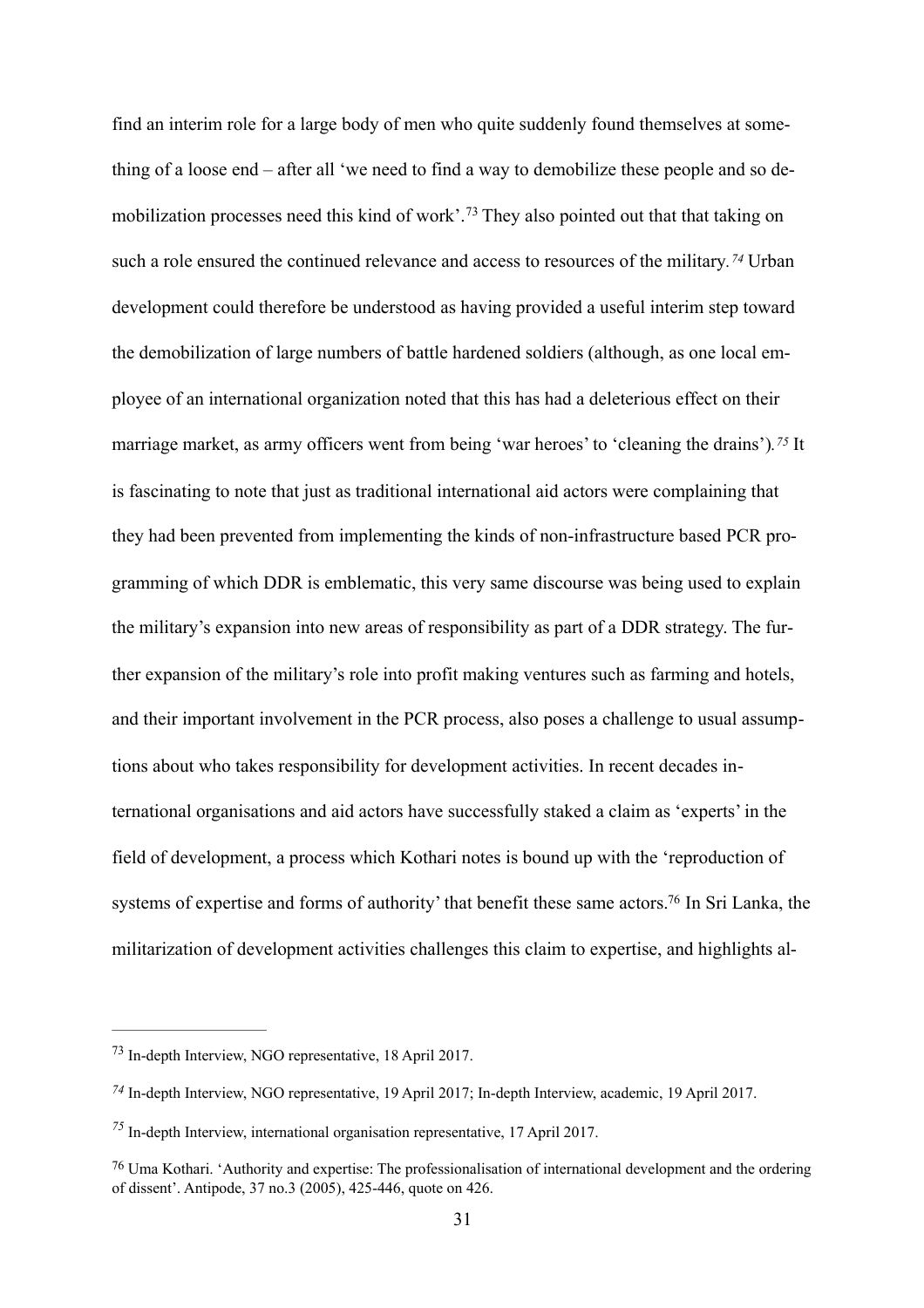<span id="page-31-6"></span><span id="page-31-5"></span><span id="page-31-4"></span>find an interim role for a large body of men who quite suddenly found themselves at something of a loose end – after all 'we need to find a way to demobilize these people and so demobilization processes need this kind of work'.[73](#page-31-0) They also pointed out that that taking on such a role ensured the continued relevance and access to resources of the military*[.74](#page-31-1)* Urban development could therefore be understood as having provided a useful interim step toward the demobilization of large numbers of battle hardened soldiers (although, as one local employee of an international organization noted that this has had a deleterious effect on their marriage market, as army officers went from being 'war heroes' to 'cleaning the drains')*.[75](#page-31-2)* It is fascinating to note that just as traditional international aid actors were complaining that they had been prevented from implementing the kinds of non-infrastructure based PCR programming of which DDR is emblematic, this very same discourse was being used to explain the military's expansion into new areas of responsibility as part of a DDR strategy. The further expansion of the military's role into profit making ventures such as farming and hotels, and their important involvement in the PCR process, also poses a challenge to usual assumptions about who takes responsibility for development activities. In recent decades international organisations and aid actors have successfully staked a claim as 'experts' in the field of development, a process which Kothari notes is bound up with the 'reproduction of systems of expertise and forms of authority' that benefit these same actors.<sup>76</sup> In Sri Lanka, the militarization of development activities challenges this claim to expertise, and highlights al-

<span id="page-31-7"></span><span id="page-31-0"></span>[<sup>73</sup>](#page-31-4) In-depth Interview, NGO representative, 18 April 2017.

<span id="page-31-1"></span>*[<sup>74</sup>](#page-31-5)* In-depth Interview, NGO representative, 19 April 2017; In-depth Interview, academic, 19 April 2017.

<span id="page-31-2"></span>*[<sup>75</sup>](#page-31-6)* In-depth Interview, international organisation representative, 17 April 2017.

<span id="page-31-3"></span>[<sup>76</sup>](#page-31-7) Uma Kothari. 'Authority and expertise: The professionalisation of international development and the ordering of dissent'. Antipode, 37 no.3 (2005), 425-446, quote on 426.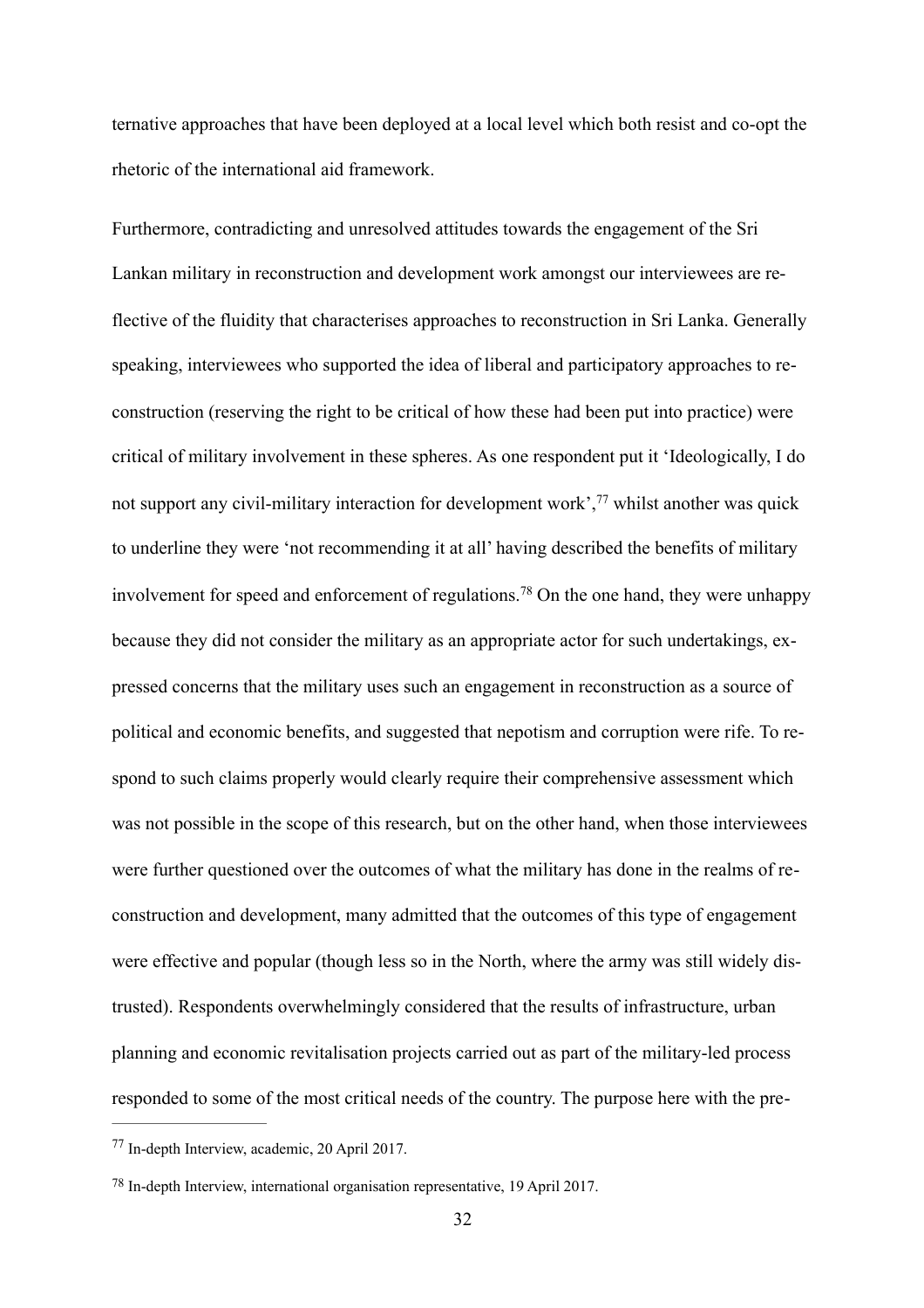ternative approaches that have been deployed at a local level which both resist and co-opt the rhetoric of the international aid framework.

<span id="page-32-3"></span><span id="page-32-2"></span>Furthermore, contradicting and unresolved attitudes towards the engagement of the Sri Lankan military in reconstruction and development work amongst our interviewees are reflective of the fluidity that characterises approaches to reconstruction in Sri Lanka. Generally speaking, interviewees who supported the idea of liberal and participatory approaches to reconstruction (reserving the right to be critical of how these had been put into practice) were critical of military involvement in these spheres. As one respondent put it 'Ideologically, I do not support any civil-military interaction for development work',<sup>77</sup> whilst another was quick to underline they were 'not recommending it at all' having described the benefits of military involvement for speed and enforcement of regulations.[78](#page-32-1) On the one hand, they were unhappy because they did not consider the military as an appropriate actor for such undertakings, expressed concerns that the military uses such an engagement in reconstruction as a source of political and economic benefits, and suggested that nepotism and corruption were rife. To respond to such claims properly would clearly require their comprehensive assessment which was not possible in the scope of this research, but on the other hand, when those interviewees were further questioned over the outcomes of what the military has done in the realms of reconstruction and development, many admitted that the outcomes of this type of engagement were effective and popular (though less so in the North, where the army was still widely distrusted). Respondents overwhelmingly considered that the results of infrastructure, urban planning and economic revitalisation projects carried out as part of the military-led process responded to some of the most critical needs of the country. The purpose here with the pre-

<span id="page-32-0"></span>[<sup>77</sup>](#page-32-2) In-depth Interview, academic, 20 April 2017.

<span id="page-32-1"></span>[<sup>78</sup>](#page-32-3) In-depth Interview, international organisation representative, 19 April 2017.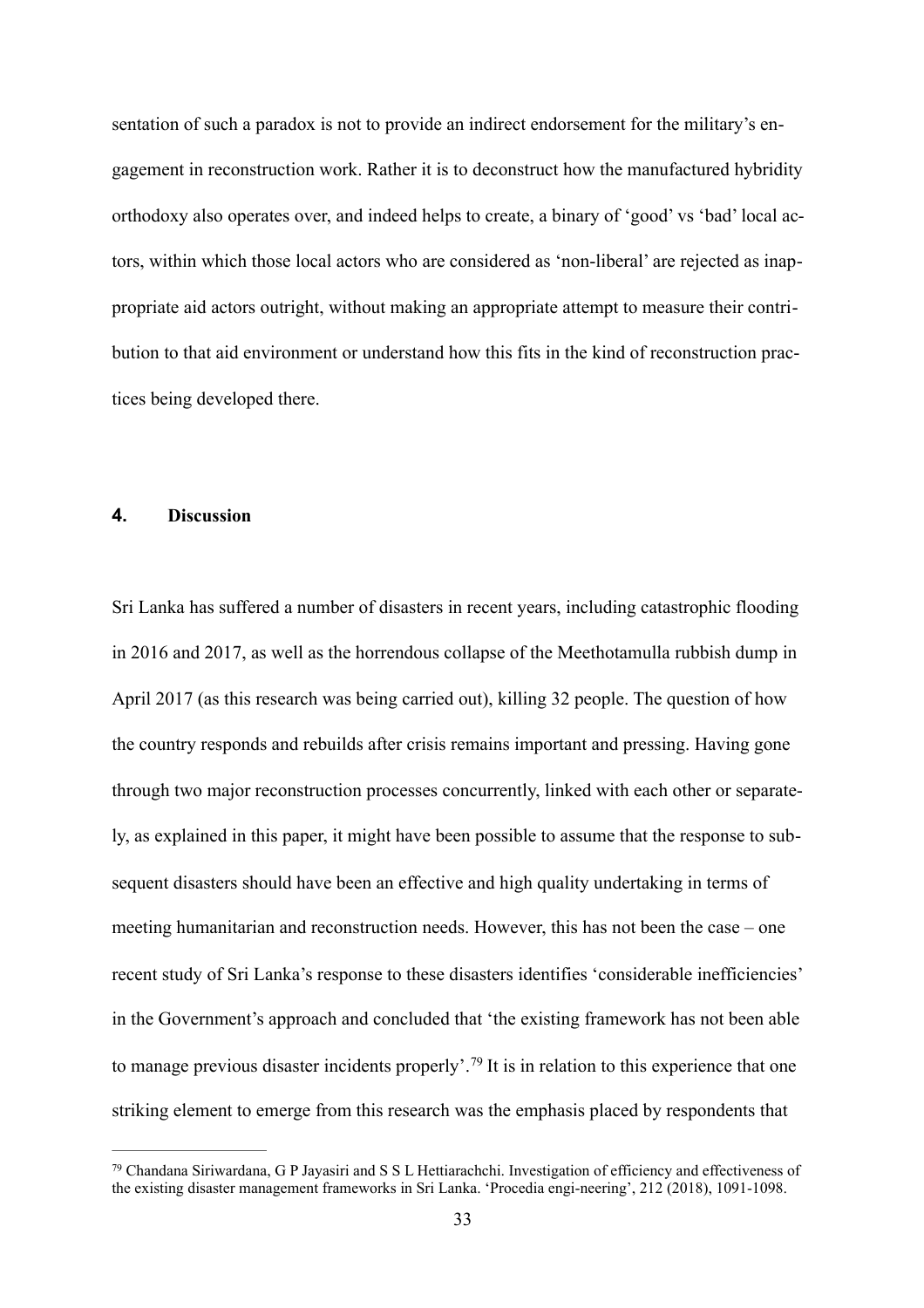sentation of such a paradox is not to provide an indirect endorsement for the military's engagement in reconstruction work. Rather it is to deconstruct how the manufactured hybridity orthodoxy also operates over, and indeed helps to create, a binary of 'good' vs 'bad' local actors, within which those local actors who are considered as 'non-liberal' are rejected as inappropriate aid actors outright, without making an appropriate attempt to measure their contribution to that aid environment or understand how this fits in the kind of reconstruction practices being developed there.

## **4. Discussion**

Sri Lanka has suffered a number of disasters in recent years, including catastrophic flooding in 2016 and 2017, as well as the horrendous collapse of the Meethotamulla rubbish dump in April 2017 (as this research was being carried out), killing 32 people. The question of how the country responds and rebuilds after crisis remains important and pressing. Having gone through two major reconstruction processes concurrently, linked with each other or separately, as explained in this paper, it might have been possible to assume that the response to subsequent disasters should have been an effective and high quality undertaking in terms of meeting humanitarian and reconstruction needs. However, this has not been the case – one recent study of Sri Lanka's response to these disasters identifies 'considerable inefficiencies' in the Government's approach and concluded that 'the existing framework has not been able to manage previous disaster incidents properly'.[79](#page-33-0) It is in relation to this experience that one striking element to emerge from this research was the emphasis placed by respondents that

<span id="page-33-1"></span><span id="page-33-0"></span>[<sup>79</sup>](#page-33-1) Chandana Siriwardana, G P Jayasiri and S S L Hettiarachchi. Investigation of efficiency and effectiveness of the existing disaster management frameworks in Sri Lanka. 'Procedia engi-neering', 212 (2018), 1091-1098.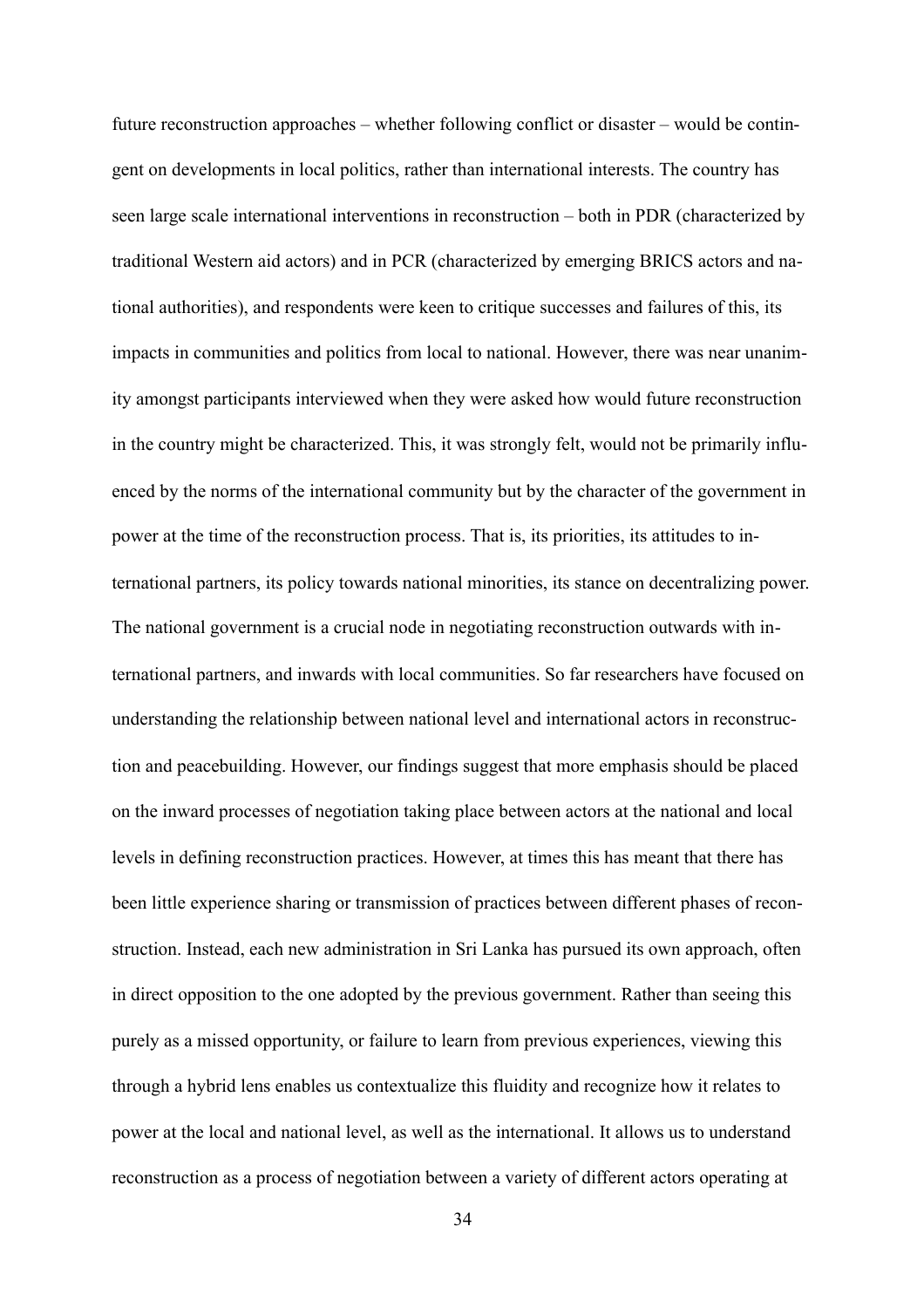future reconstruction approaches – whether following conflict or disaster – would be contingent on developments in local politics, rather than international interests. The country has seen large scale international interventions in reconstruction – both in PDR (characterized by traditional Western aid actors) and in PCR (characterized by emerging BRICS actors and national authorities), and respondents were keen to critique successes and failures of this, its impacts in communities and politics from local to national. However, there was near unanimity amongst participants interviewed when they were asked how would future reconstruction in the country might be characterized. This, it was strongly felt, would not be primarily influenced by the norms of the international community but by the character of the government in power at the time of the reconstruction process. That is, its priorities, its attitudes to international partners, its policy towards national minorities, its stance on decentralizing power. The national government is a crucial node in negotiating reconstruction outwards with international partners, and inwards with local communities. So far researchers have focused on understanding the relationship between national level and international actors in reconstruction and peacebuilding. However, our findings suggest that more emphasis should be placed on the inward processes of negotiation taking place between actors at the national and local levels in defining reconstruction practices. However, at times this has meant that there has been little experience sharing or transmission of practices between different phases of reconstruction. Instead, each new administration in Sri Lanka has pursued its own approach, often in direct opposition to the one adopted by the previous government. Rather than seeing this purely as a missed opportunity, or failure to learn from previous experiences, viewing this through a hybrid lens enables us contextualize this fluidity and recognize how it relates to power at the local and national level, as well as the international. It allows us to understand reconstruction as a process of negotiation between a variety of different actors operating at

34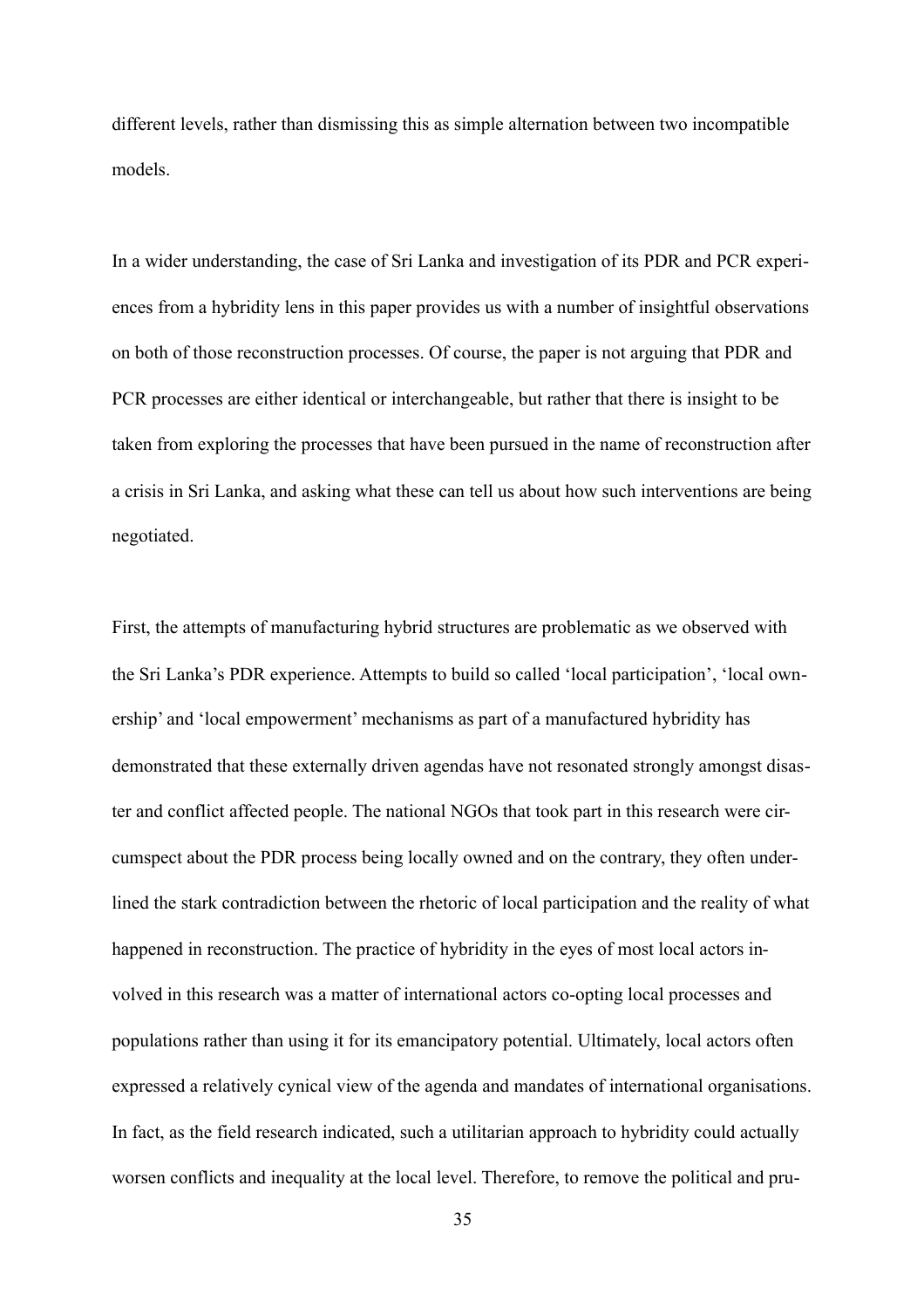different levels, rather than dismissing this as simple alternation between two incompatible models.

In a wider understanding, the case of Sri Lanka and investigation of its PDR and PCR experiences from a hybridity lens in this paper provides us with a number of insightful observations on both of those reconstruction processes. Of course, the paper is not arguing that PDR and PCR processes are either identical or interchangeable, but rather that there is insight to be taken from exploring the processes that have been pursued in the name of reconstruction after a crisis in Sri Lanka, and asking what these can tell us about how such interventions are being negotiated.

First, the attempts of manufacturing hybrid structures are problematic as we observed with the Sri Lanka's PDR experience. Attempts to build so called 'local participation', 'local ownership' and 'local empowerment' mechanisms as part of a manufactured hybridity has demonstrated that these externally driven agendas have not resonated strongly amongst disaster and conflict affected people. The national NGOs that took part in this research were circumspect about the PDR process being locally owned and on the contrary, they often underlined the stark contradiction between the rhetoric of local participation and the reality of what happened in reconstruction. The practice of hybridity in the eyes of most local actors involved in this research was a matter of international actors co-opting local processes and populations rather than using it for its emancipatory potential. Ultimately, local actors often expressed a relatively cynical view of the agenda and mandates of international organisations. In fact, as the field research indicated, such a utilitarian approach to hybridity could actually worsen conflicts and inequality at the local level. Therefore, to remove the political and pru-

35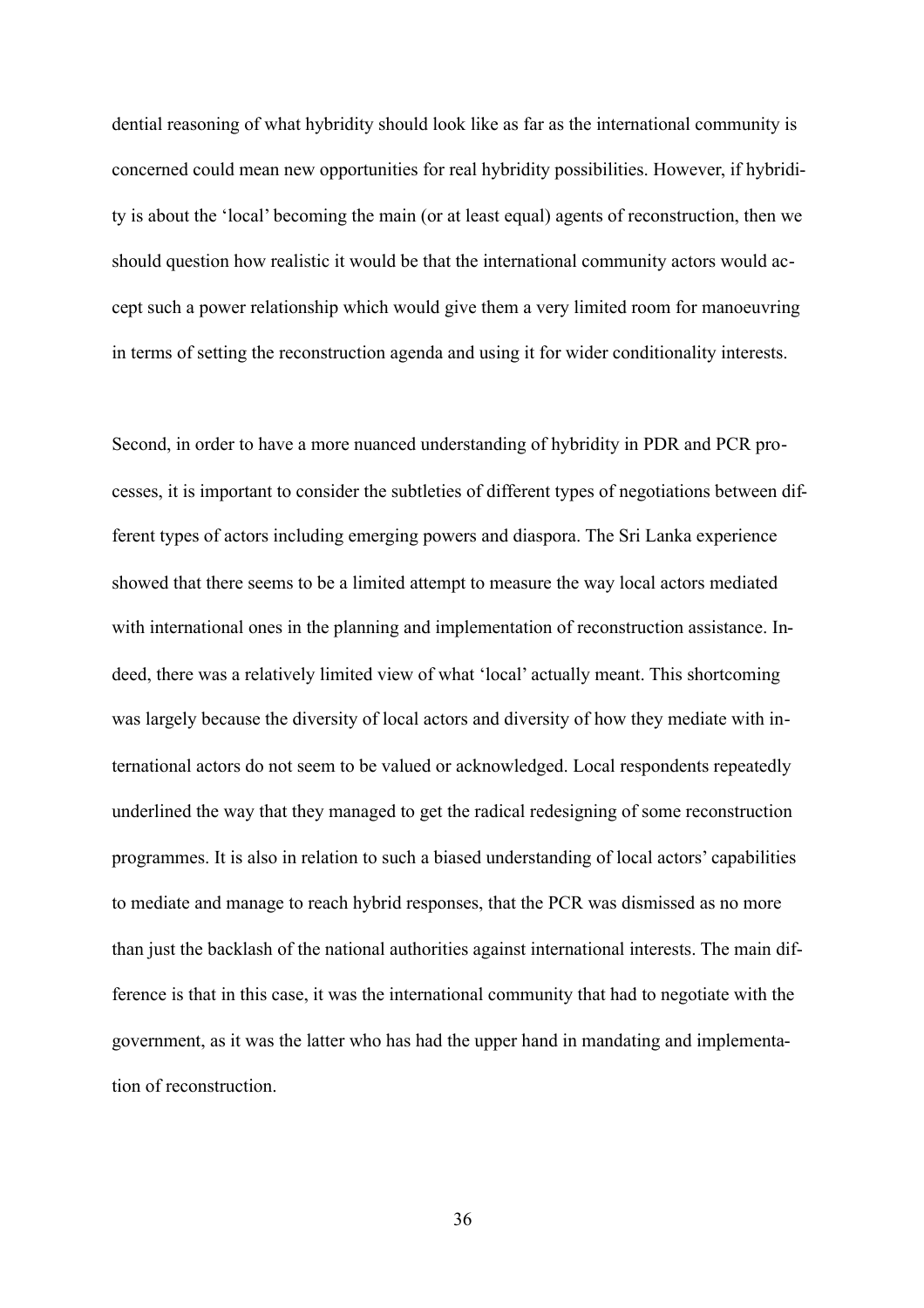dential reasoning of what hybridity should look like as far as the international community is concerned could mean new opportunities for real hybridity possibilities. However, if hybridity is about the 'local' becoming the main (or at least equal) agents of reconstruction, then we should question how realistic it would be that the international community actors would accept such a power relationship which would give them a very limited room for manoeuvring in terms of setting the reconstruction agenda and using it for wider conditionality interests.

Second, in order to have a more nuanced understanding of hybridity in PDR and PCR processes, it is important to consider the subtleties of different types of negotiations between different types of actors including emerging powers and diaspora. The Sri Lanka experience showed that there seems to be a limited attempt to measure the way local actors mediated with international ones in the planning and implementation of reconstruction assistance. Indeed, there was a relatively limited view of what 'local' actually meant. This shortcoming was largely because the diversity of local actors and diversity of how they mediate with international actors do not seem to be valued or acknowledged. Local respondents repeatedly underlined the way that they managed to get the radical redesigning of some reconstruction programmes. It is also in relation to such a biased understanding of local actors' capabilities to mediate and manage to reach hybrid responses, that the PCR was dismissed as no more than just the backlash of the national authorities against international interests. The main difference is that in this case, it was the international community that had to negotiate with the government, as it was the latter who has had the upper hand in mandating and implementation of reconstruction.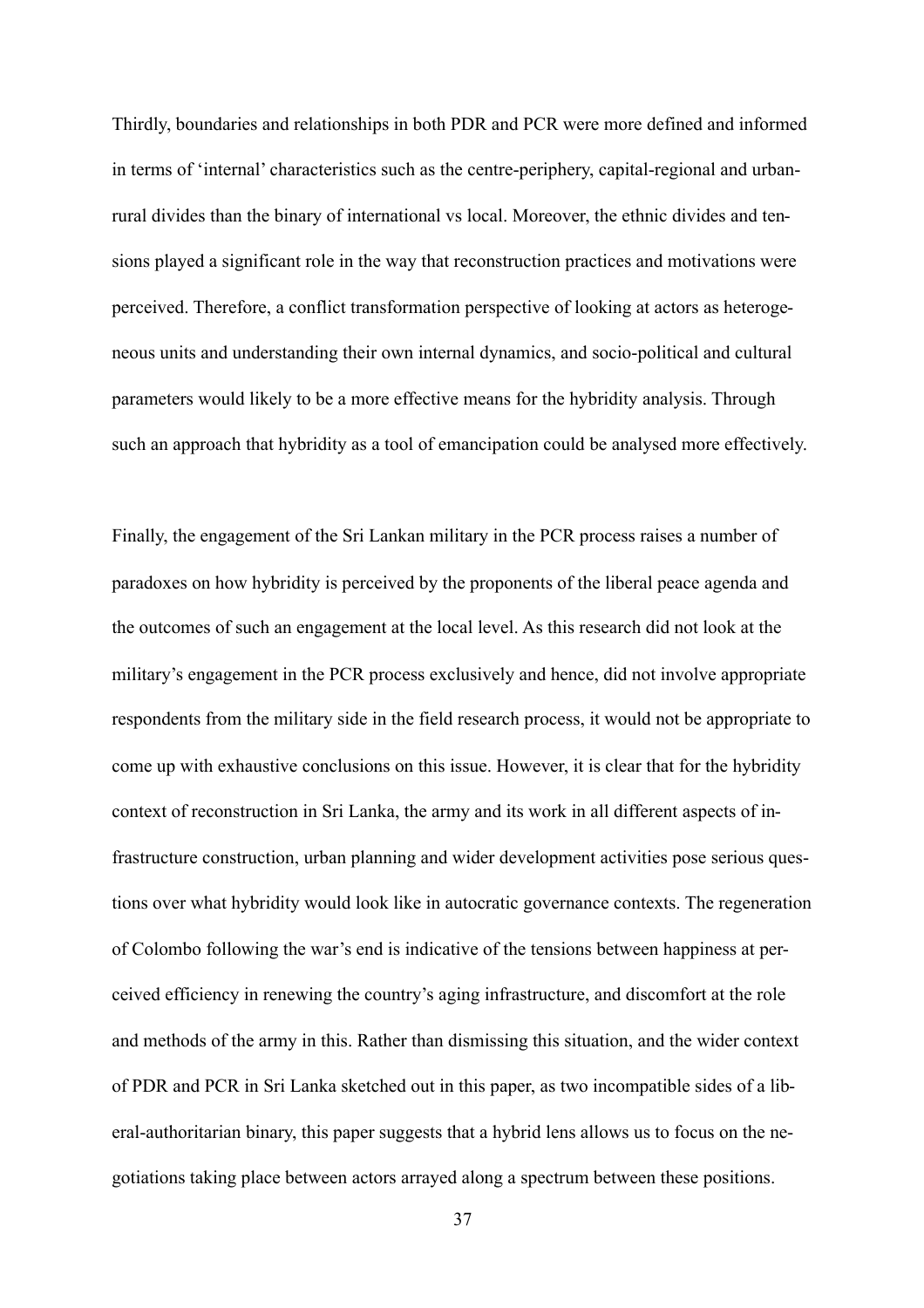Thirdly, boundaries and relationships in both PDR and PCR were more defined and informed in terms of 'internal' characteristics such as the centre-periphery, capital-regional and urbanrural divides than the binary of international vs local. Moreover, the ethnic divides and tensions played a significant role in the way that reconstruction practices and motivations were perceived. Therefore, a conflict transformation perspective of looking at actors as heterogeneous units and understanding their own internal dynamics, and socio-political and cultural parameters would likely to be a more effective means for the hybridity analysis. Through such an approach that hybridity as a tool of emancipation could be analysed more effectively.

Finally, the engagement of the Sri Lankan military in the PCR process raises a number of paradoxes on how hybridity is perceived by the proponents of the liberal peace agenda and the outcomes of such an engagement at the local level. As this research did not look at the military's engagement in the PCR process exclusively and hence, did not involve appropriate respondents from the military side in the field research process, it would not be appropriate to come up with exhaustive conclusions on this issue. However, it is clear that for the hybridity context of reconstruction in Sri Lanka, the army and its work in all different aspects of infrastructure construction, urban planning and wider development activities pose serious questions over what hybridity would look like in autocratic governance contexts. The regeneration of Colombo following the war's end is indicative of the tensions between happiness at perceived efficiency in renewing the country's aging infrastructure, and discomfort at the role and methods of the army in this. Rather than dismissing this situation, and the wider context of PDR and PCR in Sri Lanka sketched out in this paper, as two incompatible sides of a liberal-authoritarian binary, this paper suggests that a hybrid lens allows us to focus on the negotiations taking place between actors arrayed along a spectrum between these positions.

37